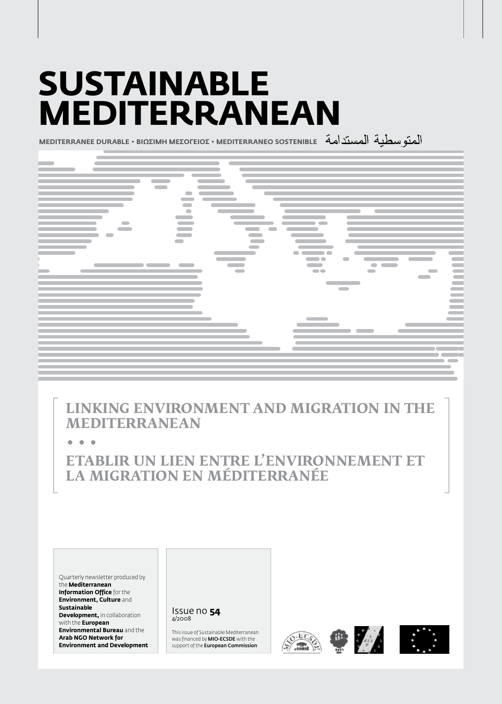# **Sustainable Mediterranean**

**MEDITERRANEE DURABLE • BIΩΣIMH MEΣOΓEIOΣ • MEDITERRANEO SOSTENIBLE**



**Linking Environment and Migration in the Mediterranean**

**• • •**

**Etablir un lien entre l'environnement et la migration en Méditerranée**

Quarterly newsletter produced by the **Mediterranean Information Office** for the **Environment, Culture** and **Sustainable Development, in collaboration** with the **European Environmental Bureau** and the **Arab NGO Network for Environment and Development**

Issue no **54** 4/2008

This issue of Sustainable Mediterranean was financed by MIO-ECSDE with the support of the **European Commission** 







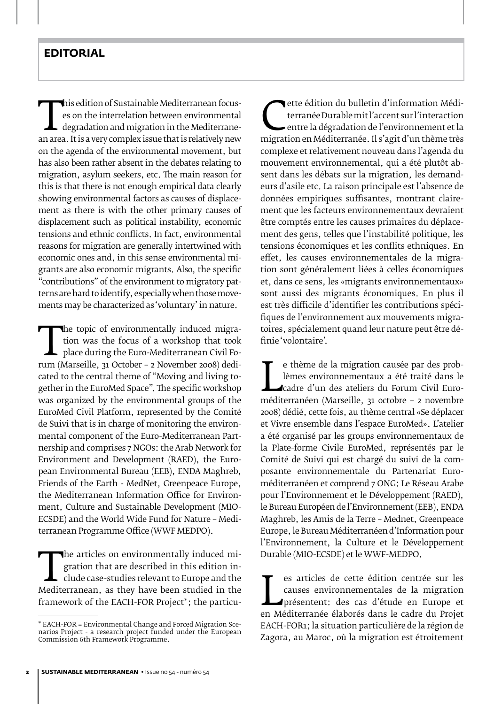EXECUTE MEDITOR SUSTAINED MEDITERRATI FOCUS-<br>
an area. It is a very complex issue that is relatively new<br>
on the agenda of the environmental movement, but es on the interrelation between environmental degradation and migration in the Mediterraneon the agenda of the environmental movement, but has also been rather absent in the debates relating to migration, asylum seekers, etc. The main reason for this is that there is not enough empirical data clearly showing environmental factors as causes of displacement as there is with the other primary causes of displacement such as political instability, economic tensions and ethnic conflicts. In fact, environmental reasons for migration are generally intertwined with economic ones and, in this sense environmental migrants are also economic migrants. Also, the specific "contributions" of the environment to migratory patterns are hard to identify, especially when those movements may be characterized as 'voluntary' in nature.

The topic of environmentally matted migra-<br>tion was the focus of a workshop that took<br>place during the Euro-Mediterranean Civil Fo-<br>rum (Marseille, 31 October – 2 November 2008) dedi-<br>cated to the central theme of "Moving tion was the focus of a workshop that took place during the Euro-Mediterranean Civil Focated to the central theme of "Moving and living together in the EuroMed Space". The specific workshop was organized by the environmental groups of the EuroMed Civil Platform, represented by the Comité de Suivi that is in charge of monitoring the environmental component of the Euro-Mediterranean Partnership and comprises 7 NGOs: the Arab Network for Environment and Development (RAED), the European Environmental Bureau (EEB), ENDA Maghreb, Friends of the Earth - MedNet, Greenpeace Europe, the Mediterranean Information Office for Environment, Culture and Sustainable Development (MIO-ECSDE) and the World Wide Fund for Nature – Mediterranean Programme Office (WWF MEDPO).

The articles on environmentally induced migration that are described in this edition in-<br>clude case-studies relevant to Europe and the<br>Mediterranean, as they have been studied in the<br>framework of the EACH-FOR Project\*: the gration that are described in this edition include case-studies relevant to Europe and the framework of the EACH-FOR Project\*; the particu-

Tette édition du bulletin d'information Médi-<br>terranée Durable mit l'accent sur l'interaction<br>entre la dégradation de l'environnement et la<br>migration en Méditerranée. Il s'agit d'un thème très<br>complexe et relativement nouv terranée Durable mit l'accent sur l'interaction entre la dégradation de l'environnement et la complexe et relativement nouveau dans l'agenda du mouvement environnemental, qui a été plutôt absent dans les débats sur la migration, les demandeurs d'asile etc. La raison principale est l'absence de données empiriques suffisantes, montrant clairement que les facteurs environnementaux devraient être comptés entre les causes primaires du déplacement des gens, telles que l'instabilité politique, les tensions économiques et les conflits ethniques. En effet, les causes environnementales de la migration sont généralement liées à celles économiques et, dans ce sens, les «migrants environnementaux» sont aussi des migrants économiques. En plus il est très difficile d'identifier les contributions spécifiques de l'environnement aux mouvements migratoires, spécialement quand leur nature peut être définie 'volontaire'.

lèmes environnementaux a été traité dans le<br>
cadre d'un des ateliers du Forum Civil Euro-<br>
méditerranéen (Marseille, 31 octobre - 2 novembre<br>
2008) dédié cette fois au thème central «Se déplacer e thème de la migration causée par des problèmes environnementaux a été traité dans le cadre d'un des ateliers du Forum Civil Euro-2008) dédié, cette fois, au thème central «Se déplacer et Vivre ensemble dans l'espace EuroMed». L'atelier a été organisé par les groups environnementaux de la Plate-forme Civile EuroMed, représentés par le Comité de Suivi qui est chargé du suivi de la composante environnementale du Partenariat Euroméditerranéen et comprend 7 ONG: Le Réseau Arabe pour l'Environnement et le Développement (RAED), le Bureau Européen de l'Environnement (EEB), ENDA Maghreb, les Amis de la Terre – Mednet, Greenpeace Europe, le Bureau Méditerranéen d'Information pour l'Environnement, la Culture et le Développement Durable (MIO-ECSDE) et le WWF-MEDPO.

causes environnementales de la migration<br>présentent: des cas d'étude en Europe et<br>en Méditerranée élaborés dans le cadre du Projet<br>EACH-EOB1: la situation particulière de la région de es articles de cette édition centrée sur les causes environnementales de la migration présentent: des cas d'étude en Europe et EACH-FOR1; la situation particulière de la région de Zagora, au Maroc, où la migration est étroitement

<sup>\*</sup> EACH-FOR = Environmental Change and Forced Migration Scenarios Project - a research project funded under the European Commission 6th Framework Programme.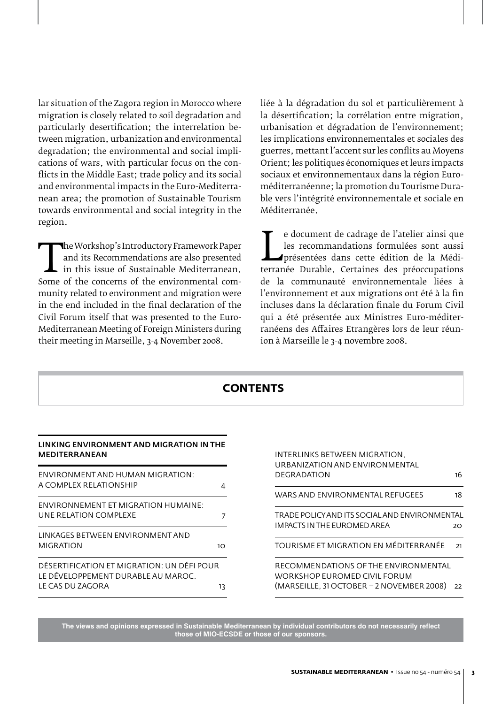lar situation of the Zagora region in Morocco where migration is closely related to soil degradation and particularly desertification; the interrelation between migration, urbanization and environmental degradation; the environmental and social implications of wars, with particular focus on the conflicts in the Middle East; trade policy and its social and environmental impacts in the Euro-Mediterranean area; the promotion of Sustainable Tourism towards environmental and social integrity in the region.

The Workshop's introductory Framework Paper<br>
and its Recommendations are also presented<br>
in this issue of Sustainable Mediterranean.<br>
Some of the concerns of the environmental com-<br>
munity related to environment and migrat and its Recommendations are also presented  $\mathsf{\mathsf{L}}$  in this issue of Sustainable Mediterranean. Some of the concerns of the environmental community related to environment and migration were in the end included in the final declaration of the Civil Forum itself that was presented to the Euro-Mediterranean Meeting of Foreign Ministers during their meeting in Marseille, 3-4 November 2008.

liée à la dégradation du sol et particulièrement à la désertification; la corrélation entre migration, urbanisation et dégradation de l'environnement; les implications environnementales et sociales des guerres, mettant l'accent sur les conflits au Moyens Orient; les politiques économiques et leurs impacts sociaux et environnementaux dans la région Euroméditerranéenne; la promotion du Tourisme Durable vers l'intégrité environnementale et sociale en Méditerranée.

les recommandations formulées sont aussi<br>présentées dans cette édition de la Méditerranée Durable. Certaines des préoccupations<br>de la communauté environnementale liées à e document de cadrage de l'atelier ainsi que les recommandations formulées sont aussi présentées dans cette édition de la Médide la communauté environnementale liées à l'environnement et aux migrations ont été à la fin incluses dans la déclaration finale du Forum Civil qui a été présentée aux Ministres Euro-méditerranéens des Affaires Etrangères lors de leur réunion à Marseille le 3-4 novembre 2008.

| <b>CONTENTS</b>                                                                                            |    |                                                                                                                                    |
|------------------------------------------------------------------------------------------------------------|----|------------------------------------------------------------------------------------------------------------------------------------|
| LINKING ENVIRONMENT AND MIGRATION IN THE<br><b>MEDITERRANEAN</b>                                           |    | INTERLINKS BETWEEN MIGRATION.                                                                                                      |
| ENVIRONMENT AND HUMAN MIGRATION:<br>A COMPLEX RELATIONSHIP                                                 | 4  | URBANIZATION AND ENVIRONMENTAL<br><b>DEGRADATION</b><br>16                                                                         |
| ENVIRONNEMENT ET MIGRATION HUMAINE:<br>UNE RELATION COMPLEXE                                               | 7  | 18<br>WARS AND ENVIRONMENTAL REFUGEES<br>TRADE POLICY AND ITS SOCIAL AND ENVIRONMENTAL<br><b>IMPACTS IN THE EUROMED AREA</b><br>20 |
| LINKAGES BETWEEN ENVIRONMENT AND<br><b>MIGRATION</b>                                                       | 10 | TOURISME ET MIGRATION EN MÉDITERRANÉE<br>21                                                                                        |
| DÉSERTIFICATION ET MIGRATION: UN DÉFI POUR<br>LE DÉVELOPPEMENT DURABLE AU MAROC.<br>LE CAS DU ZAGORA<br>13 |    | RECOMMENDATIONS OF THE ENVIRONMENTAL<br>WORKSHOP EUROMED CIVIL FORUM<br>(MARSEILLE, 31 OCTOBER – 2 NOVEMBER 2008)<br>22            |

**The views and opinions expressed in Sustainable Mediterranean by individual contributors do not necessarily reflect those of MIO-ECSDE or those of our sponsors.**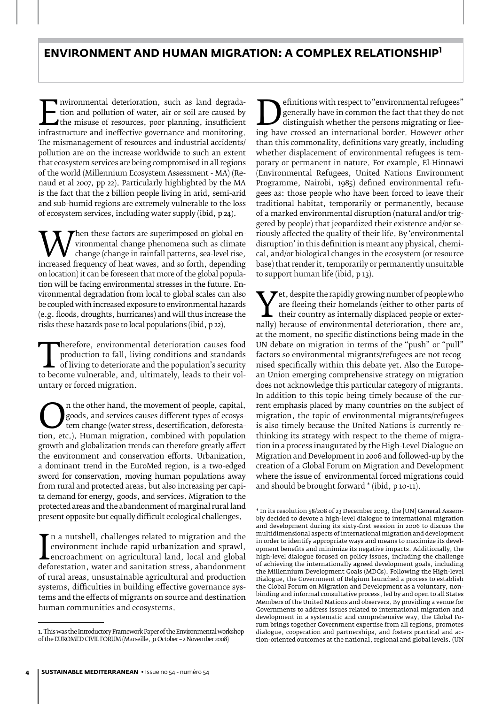## **Environment and Human Migration: a complex relationship<sup>1</sup>**

IF INTOILIERT deterioration, such as land degrada-<br>tion and pollution of water, air or soil are caused by<br>the misuse of resources, poor planning, insufficient<br>infrastructure and ineffective governance and monitoring.<br>The m tion and pollution of water, air or soil are caused by the misuse of resources, poor planning, insufficient The mismanagement of resources and industrial accidents/ pollution are on the increase worldwide to such an extent that ecosystem services are being compromised in all regions of the world (Millennium Ecosystem Assessment - MA) (Renaud et al 2007, pp 22). Particularly highlighted by the MA is the fact that the 2 billion people living in arid, semi-arid and sub-humid regions are extremely vulnerable to the loss of ecosystem services, including water supply (ibid, p 24).

When these factors are superimposed on global en-<br>change (change in rainfall patterns, sea-level rise,<br>increased frequency of heat waves, and so forth, depending<br>on location) it can be foreseen that more of the global popu vironmental change phenomena such as climate change (change in rainfall patterns, sea-level rise, on location) it can be foreseen that more of the global population will be facing environmental stresses in the future. Environmental degradation from local to global scales can also be coupled with increased exposure to environmental hazards (e.g. floods, droughts, hurricanes) and will thus increase the risks these hazards pose to local populations (ibid, p 22).

Therefore, environmental deterioration causes food<br>production to fall, living conditions and standards<br>of living to deteriorate and the population's security<br>to become vulnerable, and, ultimately, leads to their vol-<br>untar production to fall, living conditions and standards of living to deteriorate and the population's security to become vulnerable, and, ultimately, leads to their voluntary or forced migration.

**On the other hand, the movement of people, capital,** goods, and services causes different types of ecosystem change (water stress, desertification, deforestation, etc.). Human migration, combined with population growth an goods, and services causes different types of ecosystem change (water stress, desertification, deforestagrowth and globalization trends can therefore greatly affect the environment and conservation efforts. Urbanization, a dominant trend in the EuroMed region, is a two-edged sword for conservation, moving human populations away from rural and protected areas, but also increasing per capita demand for energy, goods, and services. Migration to the protected areas and the abandonment of marginal rural land present opposite but equally difficult ecological challenges.

EMINIONS WITH RESPECT OF ENVIRONMENTAL TENGERS<br>
generally have in common the fact that they do not<br>
distinguish whether the persons migrating or flee-<br>
than this commonality definitions vary greatly including generally have in common the fact that they do not distinguish whether the persons migrating or fleeing have crossed an international border. However other than this commonality, definitions vary greatly, including whether displacement of environmental refugees is temporary or permanent in nature. For example, El-Hinnawi (Environmental Refugees, United Nations Environment Programme, Nairobi, 1985) defined environmental refugees as: those people who have been forced to leave their traditional habitat, temporarily or permanently, because of a marked environmental disruption (natural and/or triggered by people) that jeopardized their existence and/or seriously affected the quality of their life. By 'environmental disruption' in this definition is meant any physical, chemical, and/or biological changes in the ecosystem (or resource base) that render it, temporarily or permanently unsuitable to support human life (ibid, p 13).

Fet, despite the rapidly growing number of people who<br>
are fleeing their homelands (either to other parts of<br>
their country as internally displaced people or exter-<br>
nally) because of environmental deterioration, there are are fleeing their homelands (either to other parts of their country as internally displaced people or exterat the moment, no specific distinctions being made in the UN debate on migration in terms of the "push" or "pull" factors so environmental migrants/refugees are not recognised specifically within this debate yet. Also the European Union emerging comprehensive strategy on migration does not acknowledge this particular category of migrants. In addition to this topic being timely because of the current emphasis placed by many countries on the subject of migration, the topic of environmental migrants/refugees is also timely because the United Nations is currently rethinking its strategy with respect to the theme of migration in a process inaugurated by the High-Level Dialogue on Migration and Development in 2006 and followed-up by the creation of a Global Forum on Migration and Development where the issue of environmental forced migrations could and should be brought forward \* (ibid, p 10-11).

I environment include rapid urbanization and sprawl,<br>deforestation, water and sanitation stress, abandonment<br>of rural areas, unsustainable agricultural and production n a nutshell, challenges related to migration and the environment include rapid urbanization and sprawl, encroachment on agricultural land, local and global of rural areas, unsustainable agricultural and production systems, difficulties in building effective governance systems and the effects of migrants on source and destination human communities and ecosystems.

<sup>1.</sup> This was the Introductory Framework Paper of the Environmental workshop of the EUROMED CIVIL FORUM (Marseille, 31 October – 2 November 2008)

<sup>\*</sup> In its resolution 58/208 of 23 December 2003, the [UN] General Assembly decided to devote a high-level dialogue to international migration and development during its sixty-first session in 2006 to discuss the multidimensional aspects of international migration and development in order to identify appropriate ways and means to maximize its development benefits and minimize its negative impacts. Additionally, the high-level dialogue focused on policy issues, including the challenge of achieving the internationally agreed development goals, including the Millennium Development Goals (MDGs). Following the High-level Dialogue, the Government of Belgium launched a process to establish the Global Forum on Migration and Development as a voluntary, nonbinding and informal consultative process, led by and open to all States Members of the United Nations and observers. By providing a venue for Governments to address issues related to international migration and development in a systematic and comprehensive way, the Global Forum brings together Government expertise from all regions, promotes dialogue, cooperation and partnerships, and fosters practical and action-oriented outcomes at the national, regional and global levels. (UN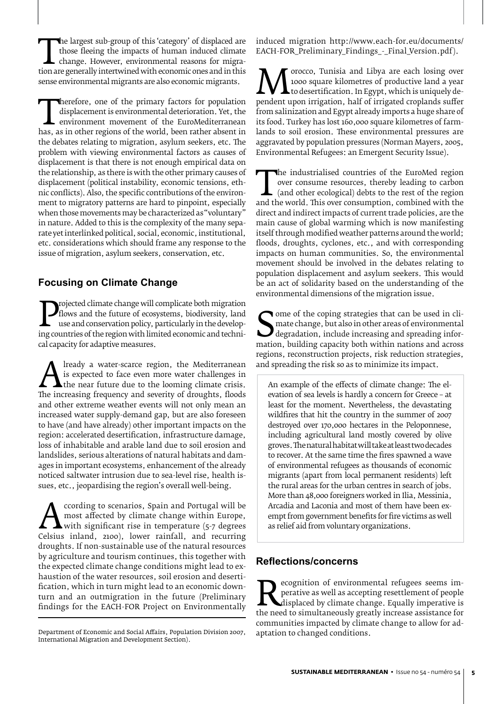The largest sub-group of this tategory' of displaced are those fleeing the impacts of human induced climate change. However, environmental reasons for migration are generally intertwined with economic ones and in this sens those fleeing the impacts of human induced climate change. However, environmental reasons for migrasense environmental migrants are also economic migrants.

displacement is environmental deterioration. Yet, the<br>
environment movement of the EuroMediterranean<br>
has, as in other regions of the world, been rather absent in<br>
the debates relating to migration, asylum seekers, etc. Th displacement is environmental deterioration. Yet, the environment movement of the EuroMediterranean the debates relating to migration, asylum seekers, etc. The problem with viewing environmental factors as causes of displacement is that there is not enough empirical data on the relationship, as there is with the other primary causes of displacement (political instability, economic tensions, ethnic conflicts). Also, the specific contributions of the environment to migratory patterns are hard to pinpoint, especially when those movements may be characterized as "voluntary" in nature. Added to this is the complexity of the many separate yet interlinked political, social, economic, institutional, etc. considerations which should frame any response to the issue of migration, asylum seekers, conservation, etc.

#### **Focusing on Climate Change**

**Projected climate change will complicate both inigration**<br>flows and the future of ecosystems, biodiversity, land<br>use and conservation policy, particularly in the develop-<br>ing countries of the region with limited economic flows and the future of ecosystems, biodiversity, land use and conservation policy, particularly in the developcal capacity for adaptive measures.

The increasing a water-scarce region, the Mediterranean<br>
The increasing frequency and severity of droughts, floods<br>
and other extreme weather events will not only mean an is expected to face even more water challenges in the near future due to the looming climate crisis. and other extreme weather events will not only mean an increased water supply-demand gap, but are also foreseen to have (and have already) other important impacts on the region: accelerated desertification, infrastructure damage, loss of inhabitable and arable land due to soil erosion and landslides, serious alterations of natural habitats and damages in important ecosystems, enhancement of the already noticed saltwater intrusion due to sea-level rise, health issues, etc., jeopardising the region's overall well-being.

A ccording to scenarios, spain and Portugal will be<br>
most affected by climate change within Europe,<br>
Celsius inland, 2100), lower rainfall, and recurring<br>
droughts If non-sustainable use of the natural resources most affected by climate change within Europe, with significant rise in temperature (5-7 degrees droughts. If non-sustainable use of the natural resources by agriculture and tourism continues, this together with the expected climate change conditions might lead to exhaustion of the water resources, soil erosion and desertification, which in turn might lead to an economic downturn and an outmigration in the future (Preliminary findings for the EACH-FOR Project on Environmentally induced migration http://www.each-for.eu/documents/ EACH-FOR\_Preliminary\_Findings\_-\_Final\_Version.pdf).

**M** roocco, Tunisia and Libya are each losing over<br>to desertification. In Egypt, which is uniquely de-<br>pendent upon irrigation, half of irrigated croplands suffer<br>from salinization and Egypt already imports a huge share of 1000 square kilometres of productive land a year to desertification. In Egypt, which is uniquely defrom salinization and Egypt already imports a huge share of its food. Turkey has lost 160,000 square kilometres of farmlands to soil erosion. These environmental pressures are aggravated by population pressures (Norman Mayers, 2005, Environmental Refugees: an Emergent Security Issue).

The industrialised countries of the EuroMed region<br>
over consume resources, thereby leading to carbon<br>
(and other ecological) debts to the rest of the region<br>
and the world. This over consumption, combined with the<br>
direct over consume resources, thereby leading to carbon (and other ecological) debts to the rest of the region direct and indirect impacts of current trade policies, are the main cause of global warming which is now manifesting itself through modified weather patterns around the world; floods, droughts, cyclones, etc., and with corresponding impacts on human communities. So, the environmental movement should be involved in the debates relating to population displacement and asylum seekers. This would be an act of solidarity based on the understanding of the environmental dimensions of the migration issue.

mate change, but also in other areas of environmental<br>degradation, include increasing and spreading infor-<br>mation, building capacity both within nations and across<br>regions reconstruction projects risk reduction strategies **T** ome of the coping strategies that can be used in climate change, but also in other areas of environmental degradation, include increasing and spreading inforregions, reconstruction projects, risk reduction strategies, and spreading the risk so as to minimize its impact.

An example of the effects of climate change: The elevation of sea levels is hardly a concern for Greece – at least for the moment. Nevertheless, the devastating wildfires that hit the country in the summer of 2007 destroyed over 170,000 hectares in the Peloponnese, including agricultural land mostly covered by olive groves. The natural habitat will take at least two decades to recover. At the same time the fires spawned a wave of environmental refugees as thousands of economic migrants (apart from local permanent residents) left the rural areas for the urban centres in search of jobs. More than 48,000 foreigners worked in Ilia, Messinia, Arcadia and Laconia and most of them have been exempt from government benefits for fire victims as well as relief aid from voluntary organizations.

#### **Reflections/concerns**

**Example 2018** ecognition of environmental refugees seems im-<br>perative as well as accepting resettlement of people<br>the need to simultaneously greatly increase assistance for<br>communities impacted by climate change to allow perative as well as accepting resettlement of people displaced by climate change. Equally imperative is communities impacted by climate change to allow for adaptation to changed conditions.

Department of Economic and Social Affairs, Population Division 2007, International Migration and Development Section).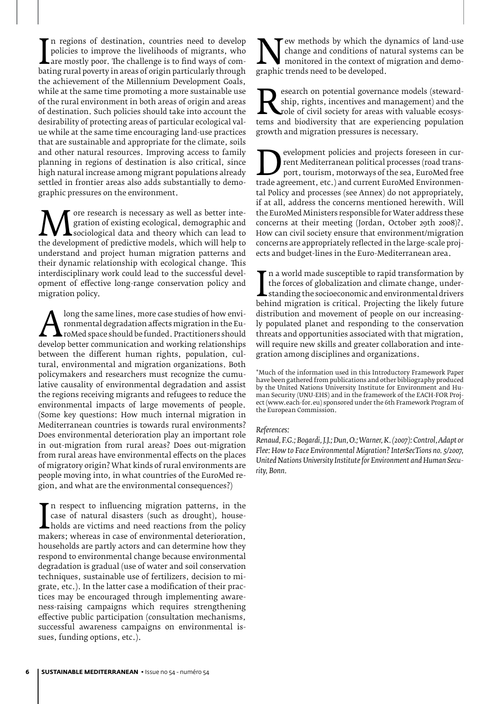policies to improve the livelihoods of migrants, who<br>are mostly poor. The challenge is to find ways of com-<br>bating rural poverty in areas of origin particularly through<br>the achievement of the Millennium Development Goals n regions of destination, countries need to develop policies to improve the livelihoods of migrants, who are mostly poor. The challenge is to find ways of comthe achievement of the Millennium Development Goals, while at the same time promoting a more sustainable use of the rural environment in both areas of origin and areas of destination. Such policies should take into account the desirability of protecting areas of particular ecological value while at the same time encouraging land-use practices that are sustainable and appropriate for the climate, soils and other natural resources. Improving access to family planning in regions of destination is also critical, since high natural increase among migrant populations already settled in frontier areas also adds substantially to demographic pressures on the environment.

**M** gration of existing ecological, demographic and<br>the development of predictive models, which can lead to<br>understand and project human migration patterns and gration of existing ecological, demographic and sociological data and theory which can lead to understand and project human migration patterns and their dynamic relationship with ecological change. This interdisciplinary work could lead to the successful development of effective long-range conservation policy and migration policy.

Along the same lines, more case studies of how environmental degradation affects migration in the EuroMed space should be funded. Practitioners should develop better communication and working relationships between the diff ronmental degradation affects migration in the EuroMed space should be funded. Practitioners should between the different human rights, population, cultural, environmental and migration organizations. Both policymakers and researchers must recognize the cumulative causality of environmental degradation and assist the regions receiving migrants and refugees to reduce the environmental impacts of large movements of people. (Some key questions: How much internal migration in Mediterranean countries is towards rural environments? Does environmental deterioration play an important role in out-migration from rural areas? Does out-migration from rural areas have environmental effects on the places of migratory origin? What kinds of rural environments are people moving into, in what countries of the EuroMed region, and what are the environmental consequences?)

Lease of natural disasters (such as drought), house-<br>holds are victims and need reactions from the policy<br>makers; whereas in case of environmental deterioration,<br>households are partly actors and can determine how they n respect to influencing migration patterns, in the case of natural disasters (such as drought), households are victims and need reactions from the policy households are partly actors and can determine how they respond to environmental change because environmental degradation is gradual (use of water and soil conservation techniques, sustainable use of fertilizers, decision to migrate, etc.). In the latter case a modification of their practices may be encouraged through implementing awareness-raising campaigns which requires strengthening effective public participation (consultation mechanisms, successful awareness campaigns on environmental issues, funding options, etc.).

New methods by which the dynamics of land-use<br>change and conditions of natural systems can be<br>monitored in the context of migration and demo-<br>graphic trends need to be developed. change and conditions of natural systems can be monitored in the context of migration and demographic trends need to be developed.

Search on potential governance models (steward-<br>
ship, rights, incentives and management) and the<br>
role of civil society for areas with valuable ecosys-<br>
tems and biodiversity that are experiencing population<br>
growth and m ship, rights, incentives and management) and the role of civil society for areas with valuable ecosysgrowth and migration pressures is necessary.

**Example 12**<br>
rent Mediterranean political processes (road trans-<br>
port, tourism, motorways of the sea, EuroMed free<br>
trade agreement, etc.) and current EuroMed Environmen-<br>
tal Policy and processes (see Anney) do not appr rent Mediterranean political processes (road transport, tourism, motorways of the sea, EuroMed free tal Policy and processes (see Annex) do not appropriately, if at all, address the concerns mentioned herewith. Will the EuroMed Ministers responsible for Water address these concerns at their meeting (Jordan, October 29th 2008)?. How can civil society ensure that environment/migration concerns are appropriately reflected in the large-scale projects and budget-lines in the Euro-Mediterranean area.

I the forces of globalization and climate change, under-<br>standing the socioeconomic and environmental drivers<br>behind migration is critical. Projecting the likely future<br>distribution and movement of people on our increasing n a world made susceptible to rapid transformation by the forces of globalization and climate change, understanding the socioeconomic and environmental drivers distribution and movement of people on our increasingly populated planet and responding to the conservation threats and opportunities associated with that migration, will require new skills and greater collaboration and integration among disciplines and organizations.

\*Much of the information used in this Introductory Framework Paper have been gathered from publications and other bibliography produced by the United Nations University Institute for Environment and Human Security (UNU-EHS) and in the framework of the EACH-FOR Project (www.each-for.eu) sponsored under the 6th Framework Program of the European Commission.

#### *References:*

*Renaud, F.G.; Bogardi, J.J.; Dun, O.; Warner, K. (2007): Control, Adapt or Flee: How to Face Environmental Migration? InterSecTions no. 5/2007, United Nations University Institute for Environment and Human Security, Bonn.*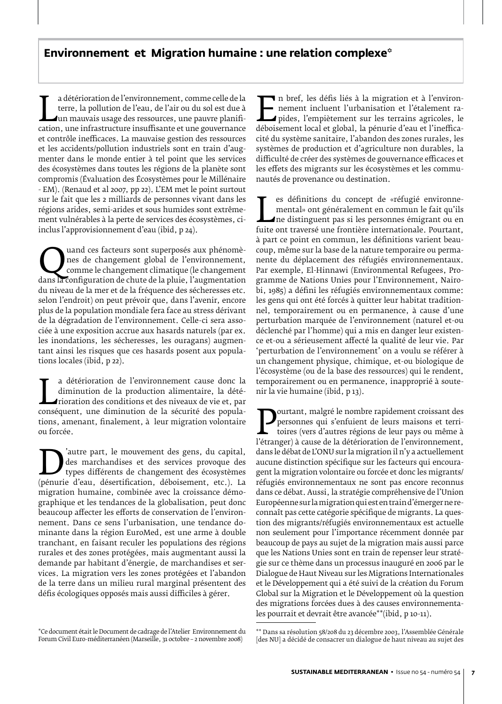## **Environnement et Migration humaine : une relation complexe\***

terre, la pollution de l'eau, de l'air ou du sol est due à<br>
un mauvais usage des ressources, une pauvre planifi-<br>
cation, une infrastructure insuffisante et une gouvernance<br>
et contrôle inefficaces. La mauvaise gestion des a détérioration de l'environnement, comme celle de la terre, la pollution de l'eau, de l'air ou du sol est due à un mauvais usage des ressources, une pauvre planifiet contrôle inefficaces. La mauvaise gestion des ressources et les accidents/pollution industriels sont en train d'augmenter dans le monde entier à tel point que les services des écosystèmes dans toutes les régions de la planète sont compromis (Évaluation des Écosystèmes pour le Millénaire - EM). (Renaud et al 2007, pp 22). L'EM met le point surtout sur le fait que les 2 milliards de personnes vivant dans les régions arides, semi-arides et sous humides sont extrêmement vulnérables à la perte de services des écosystèmes, ciinclus l'approvisionnement d'eau (ibid, p 24).

dans la configuration de changement global de l'environnement,<br>
dans la configuration de chute de la pluie, l'augmentation<br>
du niveau de la mer et de la fréquence des sécheresses etc nes de changement global de l'environnement, comme le changement climatique (le changement du niveau de la mer et de la fréquence des sécheresses etc. selon l'endroit) on peut prévoir que, dans l'avenir, encore plus de la population mondiale fera face au stress dérivant de la dégradation de l'environnement. Celle-ci sera associée à une exposition accrue aux hasards naturels (par ex. les inondations, les sécheresses, les ouragans) augmentant ainsi les risques que ces hasards posent aux populations locales (ibid, p 22).

diminution de la production alimentaire, la dété-<br>
rioration des conditions et des niveaux de vie et, par<br>
conséquent, une diminution de la sécurité des popula-<br>
tions amenant, finalement à leur migration volontaire a détérioration de l'environnement cause donc la diminution de la production alimentaire, la détérioration des conditions et des niveaux de vie et, par tions, amenant, finalement, à leur migration volontaire ou forcée.

dure part, le mouvement des gens, du capital,<br>
types différents de changement des écosystèmes<br>
(pénurie d'eau, désertification, déboisement, etc.). La<br>
migration humaine, combinée avec la croissance démodes marchandises et des services provoque des types différents de changement des écosystèmes migration humaine, combinée avec la croissance démographique et les tendances de la globalisation, peut donc beaucoup affecter les efforts de conservation de l'environnement. Dans ce sens l'urbanisation, une tendance dominante dans la région EuroMed, est une arme à double tranchant, en faisant reculer les populations des régions rurales et des zones protégées, mais augmentant aussi la demande par habitant d'énergie, de marchandises et services. La migration vers les zones protégées et l'abandon de la terre dans un milieu rural marginal présentent des défis écologiques opposés mais aussi difficiles à gérer.

\*Ce document était le Document de cadrage de l'Atelier Environnement du Forum Civil Euro-méditerranéen (Marseille, 31 octobre – 2 novembre 2008)

Transition et à l'environ-<br>
nement incluent l'urbanisation et l'étalement ra-<br>
pides, l'empiètement sur les terrains agricoles, le<br>
déboisement local et global, la pénurie d'eau et l'ineffica-<br>
cité du système sanitaire l' nement incluent l'urbanisation et l'étalement rapides, l'empiètement sur les terrains agricoles, le déboisement local et global, la pénurie d'eau et l'inefficacité du système sanitaire, l'abandon des zones rurales, les systèmes de production et d'agriculture non durables, la difficulté de créer des systèmes de gouvernance efficaces et les effets des migrants sur les écosystèmes et les communautés de provenance ou destination.

mental» ont généralement en commun le fait qu'ils<br>fuite ont traversé une frontière internationale. Pourtant,<br>à part ce point en commun les définitions varient beaues définitions du concept de «réfugié environnemental» ont généralement en commun le fait qu'ils ne distinguent pas si les personnes émigrant ou en à part ce point en commun, les définitions varient beaucoup, même sur la base de la nature temporaire ou permanente du déplacement des réfugiés environnementaux. Par exemple, El-Hinnawi (Environmental Refugees, Programme de Nations Unies pour l'Environnement, Nairobi, 1985) a défini les réfugiés environnementaux comme: les gens qui ont été forcés à quitter leur habitat traditionnel, temporairement ou en permanence, à cause d'une perturbation marquée de l'environnement (naturel et-ou déclenché par l'homme) qui a mis en danger leur existence et-ou a sérieusement affecté la qualité de leur vie. Par 'perturbation de l'environnement' on a voulu se référer à un changement physique, chimique, et-ou biologique de l'écosystème (ou de la base des ressources) qui le rendent, temporairement ou en permanence, inapproprié à soutenir la vie humaine (ibid, p 13).

**Pourtant, magre le nombre rapidement croissant des**<br>
personnes qui s'enfuient de leurs maisons et terri-<br>
l'étranger) à cause de la détérioration de l'environnement,<br>
dans le débat de l'ONU sur la migration il n'y a actue personnes qui s'enfuient de leurs maisons et territoires (vers d'autres régions de leur pays ou même à dans le débat de L'ONU sur la migration il n'y a actuellement aucune distinction spécifique sur les facteurs qui encouragent la migration volontaire ou forcée et donc les migrants/ réfugiés environnementaux ne sont pas encore reconnus dans ce débat. Aussi, la stratégie compréhensive de l'Union Européenne sur la migration qui est en train d'émerger ne reconnaît pas cette catégorie spécifique de migrants. La question des migrants/réfugiés environnementaux est actuelle non seulement pour l'importance récemment donnée par beaucoup de pays au sujet de la migration mais aussi parce que les Nations Unies sont en train de repenser leur stratégie sur ce thème dans un processus inauguré en 2006 par le Dialogue de Haut Niveau sur les Migrations Internationales et le Développement qui a été suivi de la création du Forum Global sur la Migration et le Développement où la question des migrations forcées dues à des causes environnementales pourrait et devrait être avancée\*\*(ibid, p 10-11).

<sup>\*\*</sup> Dans sa résolution 58/208 du 23 décembre 2003, l'Assemblée Générale [des NU] a décidé de consacrer un dialogue de haut niveau au sujet des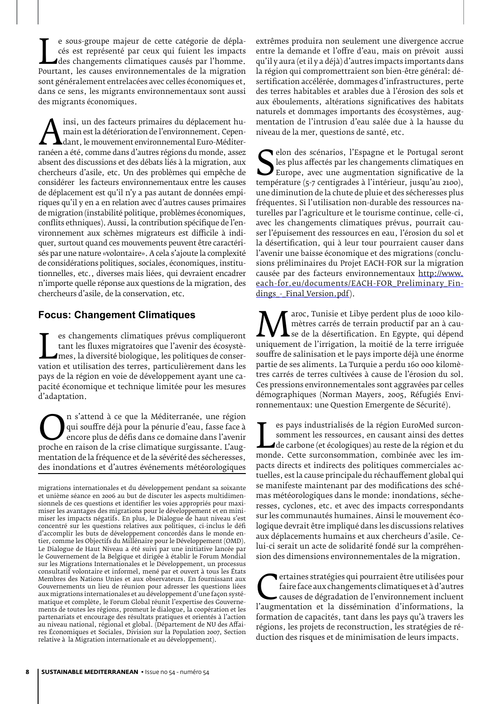Cés est représenté par ceux qui fuient les impacts<br>des changements climatiques causés par l'homme.<br>Pourtant, les causes environnementales de la migration<br>sont généralement entrelacées avec celles économiques et e sous-groupe majeur de cette catégorie de déplacés est représenté par ceux qui fuient les impacts des changements climatiques causés par l'homme. sont généralement entrelacées avec celles économiques et, dans ce sens, les migrants environnementaux sont aussi des migrants économiques.

Alissi, un des facteurs primaires du déplacement ind-<br>
main est la détérioration de l'environnement. Cepen-<br>
ranéen a été, comme dans d'autres régions du monde, assez<br>
absent des discussions et des débats liés à la migrati main est la détérioration de l'environnement. Cependant, le mouvement environnemental Euro-Méditerabsent des discussions et des débats liés à la migration, aux chercheurs d'asile, etc. Un des problèmes qui empêche de considérer les facteurs environnementaux entre les causes de déplacement est qu'il n'y a pas autant de données empiriques qu'il y en a en relation avec d'autres causes primaires de migration (instabilité politique, problèmes économiques, conflits ethniques). Aussi, la contribution spécifique de l'environnement aux schèmes migrateurs est difficile à indiquer, surtout quand ces mouvements peuvent être caractérisés par une nature «volontaire». A cela s'ajoute la complexité de considérations politiques, sociales, économiques, institutionnelles, etc., diverses mais liées, qui devraient encadrer n'importe quelle réponse aux questions de la migration, des chercheurs d'asile, de la conservation, etc.

#### **Focus: Changement Climatiques**

tant les fluxes migratoires que l'avenir des écosystè-<br>mes, la diversité biologique, les politiques de conservation et utilisation des terres, particulièrement dans les<br>navs de la région en voie de développement avant une es changements climatiques prévus compliqueront tant les fluxes migratoires que l'avenir des écosystèmes, la diversité biologique, les politiques de conserpays de la région en voie de développement ayant une capacité économique et technique limitée pour les mesures d'adaptation.

*On s'attend à ce que la Méditerranée*, une région qui souffre déjà pour la pénurie d'eau, fasse face à encore plus de défis dans ce domaine dans l'avenir proche en raison de la crise climatique surgissante. L'augmentation qui souffre déjà pour la pénurie d'eau, fasse face à encore plus de défis dans ce domaine dans l'avenir proche en raison de la crise climatique surgissante. L'augmentation de la fréquence et de la sévérité des sécheresses, des inondations et d'autres événements météorologiques extrêmes produira non seulement une divergence accrue entre la demande et l'offre d'eau, mais on prévoit aussi qu'il y aura (et il y a déjà) d'autres impacts importants dans la région qui compromettraient son bien-être général: désertification accélérée, dommages d'infrastructures, perte des terres habitables et arables due à l'érosion des sols et aux éboulements, altérations significatives des habitats naturels et dommages importants des écosystèmes, augmentation de l'intrusion d'eau salée due à la hausse du niveau de la mer, questions de santé, etc.

Ses plus affectés par les changements climatiques en<br>
Europe, avec une augmentation significative de la<br>
température (5-7 centigrades à l'intérieur, jusqu'au 2100),<br>
une diminution de la chute de pluje et des sécheresses p elon des scénarios, l'Espagne et le Portugal seront les plus affectés par les changements climatiques en Europe, avec une augmentation significative de la une diminution de la chute de pluie et des sécheresses plus fréquentes. Si l'utilisation non-durable des ressources naturelles par l'agriculture et le tourisme continue, celle-ci, avec les changements climatiques prévus, pourrait causer l'épuisement des ressources en eau, l'érosion du sol et la désertification, qui à leur tour pourraient causer dans l'avenir une baisse économique et des migrations (conclusions préliminaires du Projet EACH-FOR sur la migration causée par des facteurs environnementaux http://www. each-for.eu/documents/EACH-FOR\_Preliminary\_Findings - Final Version.pdf).

*Maroc*, Tunisie et Libye perdent plus de 1000 kilo-<br>
se de la désertification. En Egypte, qui dépend<br>
uniquement de l'irrigation, la moitié de la terre irriguée<br>
souffre de salinisation et le navs importe déjà une énorme mètres carrés de terrain productif par an à cause de la désertification. En Egypte, qui dépend souffre de salinisation et le pays importe déjà une énorme partie de ses aliments. La Turquie a perdu 160 000 kilomètres carrés de terres cultivées à cause de l'érosion du sol. Ces pressions environnementales sont aggravées par celles démographiques (Norman Mayers, 2005, Réfugiés Environnementaux: une Question Emergente de Sécurité).

Somment les ressources, en causant ainsi des dettes<br>de carbone (et écologiques) au reste de la région et du<br>monde. Cette surconsommation, combinée avec les im-<br>pacts directs et indirects des politiques commerciales aces pays industrialisés de la région EuroMed surconsomment les ressources, en causant ainsi des dettes de carbone (et écologiques) au reste de la région et du pacts directs et indirects des politiques commerciales actuelles, est la cause principale du réchauffement global qui se manifeste maintenant par des modifications des schémas météorologiques dans le monde: inondations, sécheresses, cyclones, etc. et avec des impacts correspondants sur les communautés humaines. Ainsi le mouvement écologique devrait être impliqué dans les discussions relatives aux déplacements humains et aux chercheurs d'asile. Celui-ci serait un acte de solidarité fondé sur la compréhension des dimensions environnementales de la migration.

Etaines stratégies qui pourraient être utilisées pour<br>
faire face aux changements climatiques et à d'autres<br>
l'augmentation et la dissémination d'informations, la<br>
formation de canacités tant dans les navs qu'à travers les faire face aux changements climatiques et à d'autres causes de dégradation de l'environnement incluent formation de capacités, tant dans les pays qu'à travers les régions, les projets de reconstruction, les stratégies de réduction des risques et de minimisation de leurs impacts.

migrations internationales et du développement pendant sa soixante et unième séance en 2006 au but de discuter les aspects multidimensionnels de ces questions et identifier les voies appropriés pour maximiser les avantages des migrations pour le développement et en minimiser les impacts négatifs. En plus, le Dialogue de haut niveau s'est concentré sur les questions relatives aux politiques, ci-inclus le défi d'accomplir les buts de développement concordés dans le monde entier, comme les Objectifs du Millénaire pour le Développement (OMD). Le Dialogue de Haut Niveau a été suivi par une initiative lancée par le Gouvernement de la Belgique et dirigée à établir le Forum Mondial sur les Migrations Internationales et le Développement, un processus consultatif volontaire et informel, mené par et ouvert à tous les États Membres des Nations Unies et aux observateurs. En fournissant aux Gouvernements un lieu de réunion pour adresser les questions liées aux migrations internationales et au développement d'une façon systématique et complète, le Forum Global réunit l'expertise des Gouvernements de toutes les régions, promeut le dialogue, la coopération et les partenariats et encourage des résultats pratiques et orientés à l'action au niveau national, régional et global. (Département de NU des Affaires Économiques et Sociales, Division sur la Population 2007, Section relative à la Migration internationale et au développement).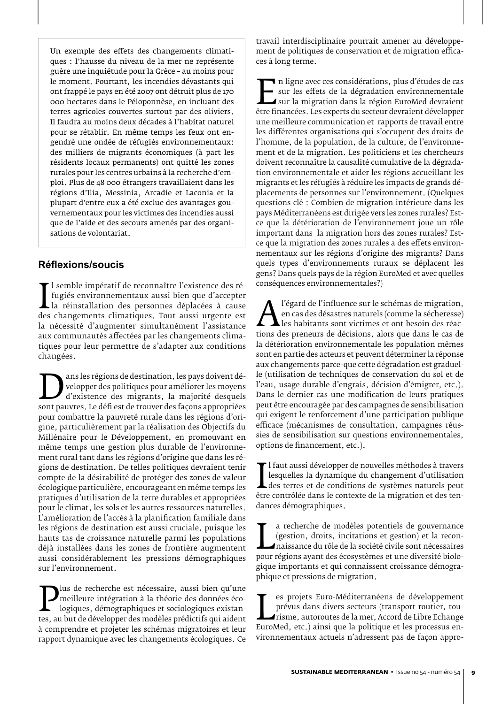Un exemple des effets des changements climatiques : l'hausse du niveau de la mer ne représente guère une inquiétude pour la Grèce – au moins pour le moment. Pourtant, les incendies dévastants qui ont frappé le pays en été 2007 ont détruit plus de 170 000 hectares dans le Péloponnèse, en incluant des terres agricoles couvertes surtout par des oliviers. Il faudra au moins deux décades à l'habitat naturel pour se rétablir. En même temps les feux ont engendré une ondée de réfugiés environnementaux: des milliers de migrants économiques (à part les résidents locaux permanents) ont quitté les zones rurales pour les centres urbains à la recherche d'emploi. Plus de 48 000 étrangers travaillaient dans les régions d'Ilia, Messinia, Arcadie et Laconia et la plupart d'entre eux a été exclue des avantages gouvernementaux pour les victimes des incendies aussi que de l'aide et des secours amenés par des organisations de volontariat.

#### **Réflexions/soucis**

In tugiés environnementaux aussi bien que d'accepter<br>Ia réinstallation des personnes déplacées à cause<br>des changements climatiques. Tout aussi urgente est<br>la nécessité d'augmenter simultanément l'assistance l semble impératif de reconnaître l'existence des réfugiés environnementaux aussi bien que d'accepter la réinstallation des personnes déplacées à cause la nécessité d'augmenter simultanément l'assistance aux communautés affectées par les changements climatiques pour leur permettre de s'adapter aux conditions changées.

Dans les régions de destination, les pays doivent de-<br>
d'existence des migrants, la majorité desquels<br>
sont pauvres. Le défi est de trouver des façons appropriées<br>
pour combattre la pauvreté rurale dans les régions d'orivelopper des politiques pour améliorer les moyens d'existence des migrants, la majorité desquels pour combattre la pauvreté rurale dans les régions d'origine, particulièrement par la réalisation des Objectifs du Millénaire pour le Développement, en promouvant en même temps une gestion plus durable de l'environnement rural tant dans les régions d'origine que dans les régions de destination. De telles politiques devraient tenir compte de la désirabilité de protéger des zones de valeur écologique particulière, encourageant en même temps les pratiques d'utilisation de la terre durables et appropriées pour le climat, les sols et les autres ressources naturelles. L'amélioration de l'accès à la planification familiale dans les régions de destination est aussi cruciale, puisque les hauts tas de croissance naturelle parmi les populations déjà installées dans les zones de frontière augmentent aussi considérablement les pressions démographiques sur l'environnement.

Tus de recherche est nécessaire, aussi bien qu'une<br>
meilleure intégration à la théorie des données éco-<br>
logiques, démographiques et sociologiques existan-<br>
tes, au but de développer des modèles prédictifs qui aident<br>
à co meilleure intégration à la théorie des données écologiques, démographiques et sociologiques existanà comprendre et projeter les schémas migratoires et leur rapport dynamique avec les changements écologiques. Ce

travail interdisciplinaire pourrait amener au développement de politiques de conservation et de migration efficaces à long terme.

En ligne avec ces considérations, plus d'études de cas sur les effets de la dégradation environnementale<br>
sur la migration dans la région EuroMed devraient<br>
être financées. Les experts du secteur devraient développer<br>
une sur les effets de la dégradation environnementale sur la migration dans la région EuroMed devraient une meilleure communication et rapports de travail entre les différentes organisations qui s'occupent des droits de l'homme, de la population, de la culture, de l'environnement et de la migration. Les politiciens et les chercheurs doivent reconnaître la causalité cumulative de la dégradation environnementale et aider les régions accueillant les migrants et les réfugiés à réduire les impacts de grands déplacements de personnes sur l'environnement. (Quelques questions clé : Combien de migration intérieure dans les pays Méditerranéens est dirigée vers les zones rurales? Estce que la détérioration de l'environnement joue un rôle important dans la migration hors des zones rurales? Estce que la migration des zones rurales a des effets environnementaux sur les régions d'origine des migrants? Dans quels types d'environnements ruraux se déplacent les gens? Dans quels pays de la région EuroMed et avec quelles conséquences environnementales?)

*A* l'égard de l'influence sur le schémas de migration,<br>
en cas des désastres naturels (comme la sécheresse)<br>
les habitants sont victimes et ont besoin des réac-<br>
la déférioration environnementale les population mêmes en cas des désastres naturels (comme la sécheresse) les habitants sont victimes et ont besoin des réacla détérioration environnementale les population mêmes sont en partie des acteurs et peuvent déterminer la réponse aux changements parce-que cette dégradation est graduelle (utilisation de techniques de conservation du sol et de l'eau, usage durable d'engrais, décision d'émigrer, etc.). Dans le dernier cas une modification de leurs pratiques peut être encouragée par des campagnes de sensibilisation qui exigent le renforcement d'une participation publique efficace (mécanismes de consultation, campagnes réussies de sensibilisation sur questions environnementales, options de financement, etc.).

Lesquelles la dynamique du changement d'utilisation<br>des terres et de conditions de systèmes naturels peut<br>être contrôlée dans le contexte de la migration et des ten-<br>dances démographiques l faut aussi développer de nouvelles méthodes à travers lesquelles la dynamique du changement d'utilisation  $\mathsf{\mathsf{L}}$ des terres et de conditions de systèmes naturels peut dances démographiques.

estion, droits, incitations et gestion) et la recon-<br>naissance du rôle de la société civile sont nécessaires<br>pour régions ayant des écosystèmes et une diversité biolo-<br>gioue importants et qui connaissent croissance démogra a recherche de modèles potentiels de gouvernance (gestion, droits, incitations et gestion) et la reconnaissance du rôle de la société civile sont nécessaires gique importants et qui connaissent croissance démographique et pressions de migration.

prévus dans divers secteurs (transport routier, tou-<br>
risme, autoroutes de la mer, Accord de Libre Echange<br>
EuroMed, etc.) ainsi que la politique et les processus en-<br>
vironnementaux actuels n'adressent pas de facon approes projets Euro-Méditerranéens de développement prévus dans divers secteurs (transport routier, tourisme, autoroutes de la mer, Accord de Libre Echange vironnementaux actuels n'adressent pas de façon appro-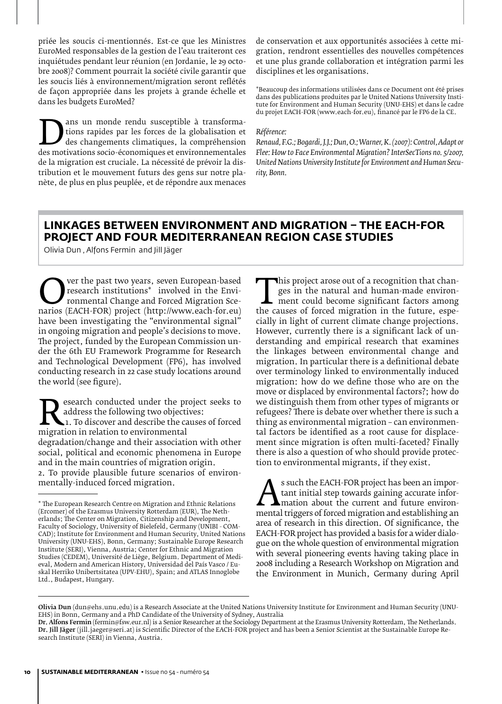priée les soucis ci-mentionnés. Est-ce que les Ministres EuroMed responsables de la gestion de l'eau traiteront ces inquiétudes pendant leur réunion (en Jordanie, le 29 octobre 2008)? Comment pourrait la société civile garantir que les soucis liés à environnement/migration seront reflétés de façon appropriée dans les projets à grande échelle et dans les budgets EuroMed?

France rendu susceptible à transforma-<br>des changements climatiques, la compréhension<br>des motivations socio-économiques et environnementales<br>de la migration est cruciale. La nécessité de prévoir la distions rapides par les forces de la globalisation et des changements climatiques, la compréhension de la migration est cruciale. La nécessité de prévoir la distribution et le mouvement futurs des gens sur notre planète, de plus en plus peuplée, et de répondre aux menaces

de conservation et aux opportunités associées à cette migration, rendront essentielles des nouvelles compétences et une plus grande collaboration et intégration parmi les disciplines et les organisations.

\*Beaucoup des informations utilisées dans ce Document ont été prises dans des publications produites par le United Nations University Institute for Environment and Human Security (UNU-EHS) et dans le cadre du projet EACH-FOR (www.each-for.eu), financé par le FP6 de la CE.

#### *Référence:*

*Renaud, F.G.; Bogardi, J.J.; Dun, O.; Warner, K. (2007): Control, Adapt or Flee: How to Face Environmental Migration? InterSecTions no. 5/2007, United Nations University Institute for Environment and Human Security, Bonn.*

#### **Linkages between environment and migration – The EACH-FOR Project and four Mediterranean region case studies**

Olivia Dun , Alfons Fermin and Jill Jäger

**COVERTHE PAST THE PAST THE PAST THE PAST THE PROPERTITY OF THE PROPERTIES (EACH-FOR)** project (http://www.each-for.eu) have been investigating the "environmental signal" research institutions\* involved in the Environmental Change and Forced Migration Scehave been investigating the "environmental signal" in ongoing migration and people's decisions to move. The project, funded by the European Commission under the 6th EU Framework Programme for Research and Technological Development (FP6), has involved conducting research in 22 case study locations around the world (see figure).

Exercit conducted under the project seeks to<br>address the following two objectives:<br>i. To discover and describe the causes of forced<br>migration in relation to environmental<br>degradation/change and their association with other address the following two objectives: 1. To discover and describe the causes of forced migration in relation to environmental degradation/change and their association with other social, political and economic phenomena in Europe and in the main countries of migration origin. 2. To provide plausible future scenarios of environmentally-induced forced migration.

This project arose out of a recognition that chan-<br>ges in the natural and human-made environ-<br>ment could become significant factors among<br>the causes of forced migration in the future, espe-<br>cially in light of current clima ges in the natural and human-made environment could become significant factors among cially in light of current climate change projections. However, currently there is a significant lack of understanding and empirical research that examines the linkages between environmental change and migration. In particular there is a definitional debate over terminology linked to environmentally induced migration: how do we define those who are on the move or displaced by environmental factors?; how do we distinguish them from other types of migrants or refugees? There is debate over whether there is such a thing as environmental migration – can environmental factors be identified as a root cause for displacement since migration is often multi-faceted? Finally there is also a question of who should provide protection to environmental migrants, if they exist.

As such the EACH-FOR project has been an important than the current and future environmental triggers of forced migration and establishing an area of research in this direction. Of significance, the tant initial step towards gaining accurate information about the current and future environarea of research in this direction. Of significance, the EACH-FOR project has provided a basis for a wider dialogue on the whole question of environmental migration with several pioneering events having taking place in 2008 including a Research Workshop on Migration and the Environment in Munich, Germany during April

<sup>\*</sup> The European Research Centre on Migration and Ethnic Relations (Ercomer) of the Erasmus University Rotterdam (EUR), The Netherlands; The Center on Migration, Citizenship and Development, Faculty of Sociology, University of Bielefeld, Germany (UNIBI - COM-CAD); Institute for Environment and Human Security, United Nations University (UNU-EHS), Bonn, Germany; Sustainable Europe Research Institute (SERI), Vienna, Austria; Center for Ethnic and Migration Studies (CEDEM), Université de Liège, Belgium. Department of Medieval, Modern and American History, Universidad del País Vasco / Euskal Herriko Unibertsitatea (UPV-EHU), Spain; and ATLAS Innoglobe Ltd., Budapest, Hungary.

Olivia Dun (dun@ehs.unu.edu) is a Research Associate at the United Nations University Institute for Environment and Human Security (UNU-EHS) in Bonn, Germany and a PhD Candidate of the University of Sydney, Australia

Dr. Alfons Fermin (fermin@fsw.eur.nl) is a Senior Researcher at the Sociology Department at the Erasmus University Rotterdam, The Netherlands. Dr. Jill Jäger (jill.jaeger@seri.at) is Scientific Director of the EACH-FOR project and has been a Senior Scientist at the Sustainable Europe Research Institute (SERI) in Vienna, Austria.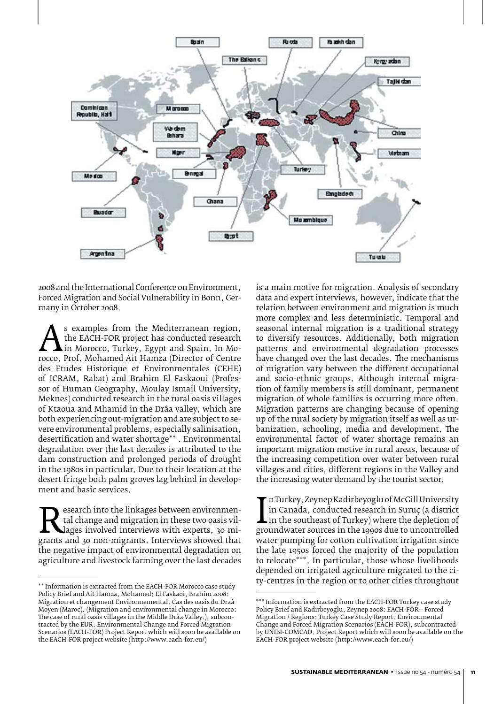

2008 and the International Conference on Environment, Forced Migration and Social Vulnerability in Bonn, Germany in October 2008.

A the EACH-FOR project has conducted research<br>in Morocco, Turkey, Egypt and Spain. In Mo-<br>rocco, Prof. Mohamed Ait Hamza (Director of Centre<br>des Etudes Historique et Environmentales (CEHE) the EACH-FOR project has conducted research in Morocco, Turkey, Egypt and Spain. In Morocco, Prof. Mohamed Ait Hamza (Director of Centre des Etudes Historique et Environmentales (CEHE) of ICRAM, Rabat) and Brahim El Faskaoui (Professor of Human Geography, Moulay Ismail University, Meknes) conducted research in the rural oasis villages of Ktaoua and Mhamid in the Drâa valley, which are both experiencing out-migration and are subject to severe environmental problems, especially salinisation, desertification and water shortage\*\* . Environmental degradation over the last decades is attributed to the dam construction and prolonged periods of drought in the 1980s in particular. Due to their location at the desert fringe both palm groves lag behind in development and basic services.

Exerch into the linkages between environmental<br>tal change and migration in these two oasis vil-<br>grants and 30 non-migrants. Interviews showed that<br>the negative impact of environmental degradation on tal change and migration in these two oasis villages involved interviews with experts, 30 mithe negative impact of environmental degradation on agriculture and livestock farming over the last decades

is a main motive for migration. Analysis of secondary data and expert interviews, however, indicate that the relation between environment and migration is much more complex and less deterministic. Temporal and seasonal internal migration is a traditional strategy to diversify resources. Additionally, both migration patterns and environmental degradation processes have changed over the last decades. The mechanisms of migration vary between the different occupational and socio-ethnic groups. Although internal migration of family members is still dominant, permanent migration of whole families is occurring more often. Migration patterns are changing because of opening up of the rural society by migration itself as well as urbanization, schooling, media and development. The environmental factor of water shortage remains an important migration motive in rural areas, because of the increasing competition over water between rural villages and cities, different regions in the Valley and the increasing water demand by the tourist sector.

In Canada, conducted research in Suruç (a district<br>in the southeast of Turkey) where the depletion of<br>groundwater sources in the 1990s due to uncontrolled<br>water pumping for cotton cultivation irrigation since n Turkey, Zeynep Kadirbeyoglu of McGill University in Canada, conducted research in Suruç (a district in the southeast of Turkey) where the depletion of water pumping for cotton cultivation irrigation since the late 1950s forced the majority of the population to relocate\*\*\*. In particular, those whose livelihoods depended on irrigated agriculture migrated to the city-centres in the region or to other cities throughout

<sup>\*\*</sup> Information is extracted from the EACH-FOR Morocco case study Policy Brief and Ait Hamza, Mohamed; El Faskaoi, Brahim 2008: Migration et changement Environnemental. Cas des oasis du Draâ Moyen (Maroc). (Migration and environmental change in Morocco: The case of rural oasis villages in the Middle Drâa Valley.), subcontracted by the EUR. Environmental Change and Forced Migration Scenarios (EACH-FOR) Project Report which will soon be available on the EACH-FOR project website (http://www.each-for.eu/)

<sup>\*\*\*</sup> Information is extracted from the EACH-FOR Turkey case study Policy Brief and Kadirbeyoglu, Zeynep 2008: EACH-FOR – Forced Migration / Regions: Turkey Case Study Report. Environmental Change and Forced Migration Scenarios (EACH-FOR), subcontracted by UNIBI-COMCAD. Project Report which will soon be available on the EACH-FOR project website (http://www.each-for.eu/)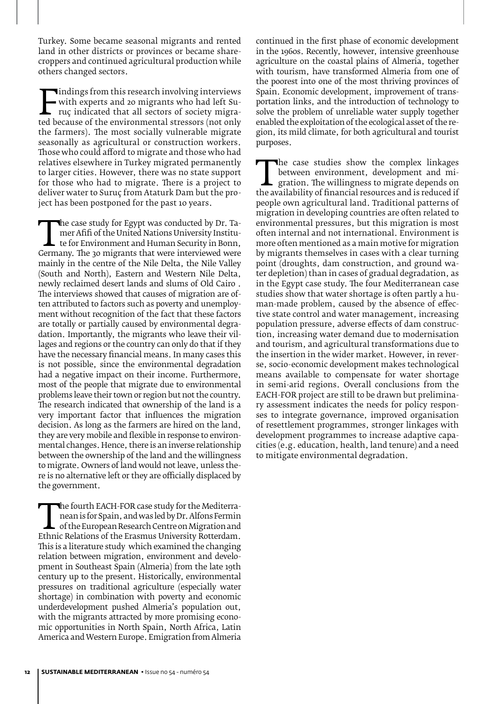Turkey. Some became seasonal migrants and rented land in other districts or provinces or became sharecroppers and continued agricultural production while others changed sectors.

Findings from this research involving interviews<br>with experts and 20 migrants who had left Sur-<br>ruç indicated that all sectors of society migra-<br>ted because of the environmental stressors (not only<br>the farmers). The most s with experts and 20 migrants who had left Suruç indicated that all sectors of society migrated because of the environmental stressors (not only the farmers). The most socially vulnerable migrate seasonally as agricultural or construction workers. Those who could afford to migrate and those who had relatives elsewhere in Turkey migrated permanently to larger cities. However, there was no state support for those who had to migrate. There is a project to deliver water to Suruç from Ataturk Dam but the project has been postponed for the past 10 years.

The case study for Egypt was conducted by Dr. Tadenier Afifi of the United Nations University Institution to the United Nations University in Bonn,
Cermany. The 30 migrants that were interviewed were
mainly in the centre mer Afifi of the United Nations University Institute for Environment and Human Security in Bonn, mainly in the centre of the Nile Delta, the Nile Valley (South and North), Eastern and Western Nile Delta, newly reclaimed desert lands and slums of Old Cairo . The interviews showed that causes of migration are often attributed to factors such as poverty and unemployment without recognition of the fact that these factors are totally or partially caused by environmental degradation. Importantly, the migrants who leave their villages and regions or the country can only do that if they have the necessary financial means. In many cases this is not possible, since the environmental degradation had a negative impact on their income. Furthermore, most of the people that migrate due to environmental problems leave their town or region but not the country. The research indicated that ownership of the land is a very important factor that influences the migration decision. As long as the farmers are hired on the land, they are very mobile and flexible in response to environmental changes. Hence, there is an inverse relationship between the ownership of the land and the willingness to migrate. Owners of land would not leave, unless there is no alternative left or they are officially displaced by the government.

The fourth EACH-FOR case study for the Mediterra-<br>
nean is for Spain, and was led by Dr. Alfons Fermin<br>
of the European Research Centre on Migration and<br>
Ethnic Relations of the Erasmus University Rotterdam.<br>
This is a lit nean is for Spain, and was led by Dr. Alfons Fermin of the European Research Centre on Migration and This is a literature study which examined the changing relation between migration, environment and development in Southeast Spain (Almeria) from the late 19th century up to the present. Historically, environmental pressures on traditional agriculture (especially water shortage) in combination with poverty and economic underdevelopment pushed Almeria's population out, with the migrants attracted by more promising economic opportunities in North Spain, North Africa, Latin America and Western Europe. Emigration from Almeria

continued in the first phase of economic development in the 1960s. Recently, however, intensive greenhouse agriculture on the coastal plains of Almeria, together with tourism, have transformed Almeria from one of the poorest into one of the most thriving provinces of Spain. Economic development, improvement of transportation links, and the introduction of technology to solve the problem of unreliable water supply together enabled the exploitation of the ecological asset of the region, its mild climate, for both agricultural and tourist purposes.

The case studies show the complex linkages<br>between environment, development and mi-<br>gration. The willingness to migrate depends on<br>the availability of financial resources and is reduced if<br>people own agricultural land Trad between environment, development and migration. The willingness to migrate depends on people own agricultural land. Traditional patterns of migration in developing countries are often related to environmental pressures, but this migration is most often internal and not international. Environment is more often mentioned as a main motive for migration by migrants themselves in cases with a clear turning point (droughts, dam construction, and ground water depletion) than in cases of gradual degradation, as in the Egypt case study. The four Mediterranean case studies show that water shortage is often partly a human-made problem, caused by the absence of effective state control and water management, increasing population pressure, adverse effects of dam construction, increasing water demand due to modernisation and tourism, and agricultural transformations due to the insertion in the wider market. However, in reverse, socio-economic development makes technological means available to compensate for water shortage in semi-arid regions. Overall conclusions from the EACH-FOR project are still to be drawn but preliminary assessment indicates the needs for policy responses to integrate governance, improved organisation of resettlement programmes, stronger linkages with development programmes to increase adaptive capacities (e.g. education, health, land tenure) and a need to mitigate environmental degradation.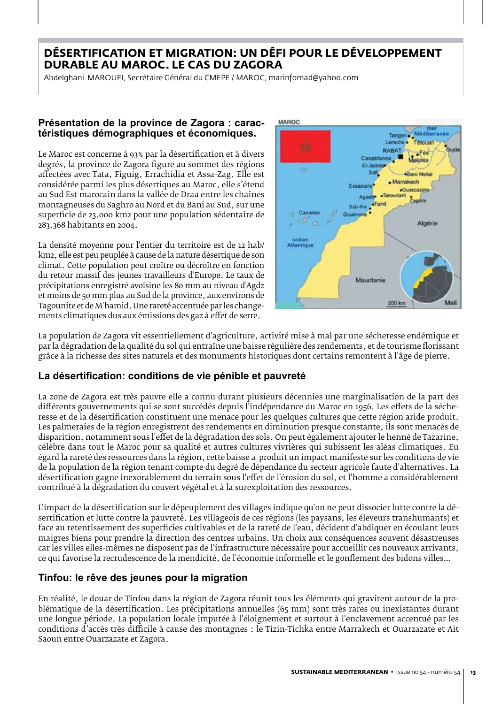## **Désertification et migration: Un défi pour le développement durable au Maroc. Le cas du Zagora**

Abdelghani MAROUFI, Secrétaire Général du CMEPE / MAROC, marinfomad@yahoo.com

#### **Présentation de la province de Zagora : caractéristiques démographiques et économiques.**

Le Maroc est concerne à 93% par la désertification et à divers degrés, la province de Zagora figure au sommet des régions affectées avec Tata, Figuig, Errachidia et Assa-Zag. Elle est considérée parmi les plus désertiques au Maroc, elle s'étend au Sud Est marocain dans la vallée de Draa entre les chaînes montagneuses du Saghro au Nord et du Bani au Sud, sur une superficie de 23.000 km2 pour une population sédentaire de 283.368 habitants en 2004.

La densité moyenne pour l'entier du territoire est de 12 hab/ km2, elle est peu peuplée à cause de la nature désertique de son climat. Cette population peut croître ou décroître en fonction du retour massif des jeunes travailleurs d'Europe. Le taux de précipitations enregistré avoisine les 80 mm au niveau d'Agdz et moins de 50 mm plus au Sud de la province, aux environs de Tagounite et de M'hamid. Une rareté accentuée par les changements climatiques dus aux émissions des gaz à effet de serre.



La population de Zagora vit essentiellement d'agriculture, activité mise à mal par une sécheresse endémique et par la dégradation de la qualité du sol qui entraîne une baisse régulière des rendements, et de tourisme florissant grâce à la richesse des sites naturels et des monuments historiques dont certains remontent à l'âge de pierre.

## **La désertification: conditions de vie pénible et pauvreté**

La zone de Zagora est très pauvre elle a connu durant plusieurs décennies une marginalisation de la part des différents gouvernements qui se sont succédés depuis l'indépendance du Maroc en 1956. Les effets de la sécheresse et de la désertification constituent une menace pour les quelques cultures que cette région aride produit. Les palmeraies de la région enregistrent des rendements en diminution presque constante, ils sont menacés de disparition, notamment sous l'effet de la dégradation des sols. On peut également ajouter le henné de Tazarine, célèbre dans tout le Maroc pour sa qualité et autres cultures vivrières qui subissent les aléas climatiques. Eu égard la rareté des ressources dans la région, cette baisse a produit un impact manifeste sur les conditions de vie de la population de la région tenant compte du degré de dépendance du secteur agricole faute d'alternatives. La désertification gagne inexorablement du terrain sous l'effet de l'érosion du sol, et l'homme a considérablement contribué à la dégradation du couvert végétal et à la surexploitation des ressources.

L'impact de la désertification sur le dépeuplement des villages indique qu'on ne peut dissocier lutte contre la désertification et lutte contre la pauvreté. Les villageois de ces régions (les paysans, les éleveurs transhumants) et face au retentissement des superficies cultivables et de la rareté de l'eau, décident d'abdiquer en écoulant leurs maigres biens pour prendre la direction des centres urbains. Un choix aux conséquences souvent désastreuses car les villes elles-mêmes ne disposent pas de l'infrastructure nécessaire pour accueillir ces nouveaux arrivants, ce qui favorise la recrudescence de la mendicité, de l'économie informelle et le gonflement des bidons villes…

#### **Tinfou: le rêve des jeunes pour la migration**

En réalité, le douar de Tinfou dans la région de Zagora réunit tous les éléments qui gravitent autour de la problématique de la désertification. Les précipitations annuelles (65 mm) sont très rares ou inexistantes durant une longue période. La population locale imputée à l'éloignement et surtout à l'enclavement accentué par les conditions d'accès très difficile à cause des montagnes : le Tizin-Tichka entre Marrakech et Ouarzazate et Ait Saoun entre Ouarzazate et Zagora.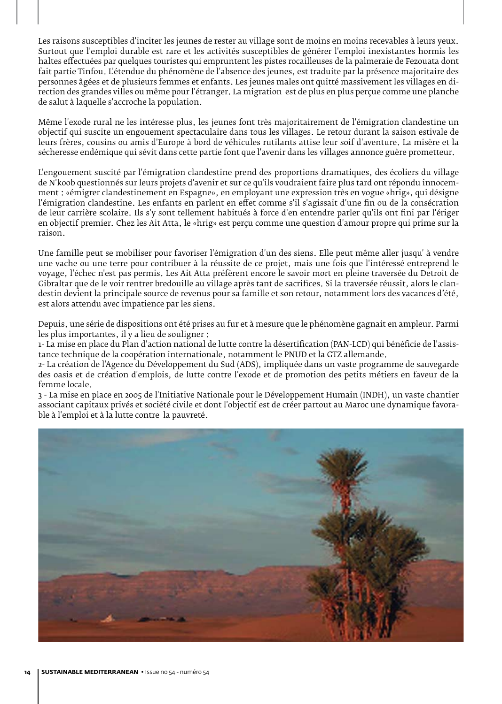Les raisons susceptibles d'inciter les jeunes de rester au village sont de moins en moins recevables à leurs yeux. Surtout que l'emploi durable est rare et les activités susceptibles de générer l'emploi inexistantes hormis les haltes effectuées par quelques touristes qui empruntent les pistes rocailleuses de la palmeraie de Fezouata dont fait partie Tinfou. L'étendue du phénomène de l'absence des jeunes, est traduite par la présence majoritaire des personnes âgées et de plusieurs femmes et enfants. Les jeunes males ont quitté massivement les villages en direction des grandes villes ou même pour l'étranger. La migration est de plus en plus perçue comme une planche de salut à laquelle s'accroche la population.

Même l'exode rural ne les intéresse plus, les jeunes font très majoritairement de l'émigration clandestine un objectif qui suscite un engouement spectaculaire dans tous les villages. Le retour durant la saison estivale de leurs frères, cousins ou amis d'Europe à bord de véhicules rutilants attise leur soif d'aventure. La misère et la sécheresse endémique qui sévit dans cette partie font que l'avenir dans les villages annonce guère prometteur.

L'engouement suscité par l'émigration clandestine prend des proportions dramatiques, des écoliers du village de N'koob questionnés sur leurs projets d'avenir et sur ce qu'ils voudraient faire plus tard ont répondu innocemment : «émigrer clandestinement en Espagne», en employant une expression très en vogue «hrig», qui désigne l'émigration clandestine. Les enfants en parlent en effet comme s'il s'agissait d'une fin ou de la consécration de leur carrière scolaire. Ils s'y sont tellement habitués à force d'en entendre parler qu'ils ont fini par l'ériger en objectif premier. Chez les Ait Atta, le «hrig» est perçu comme une question d'amour propre qui prime sur la raison.

Une famille peut se mobiliser pour favoriser l'émigration d'un des siens. Elle peut même aller jusqu' à vendre une vache ou une terre pour contribuer à la réussite de ce projet, mais une fois que l'intéressé entreprend le voyage, l'échec n'est pas permis. Les Ait Atta préfèrent encore le savoir mort en pleine traversée du Detroit de Gibraltar que de le voir rentrer bredouille au village après tant de sacrifices. Si la traversée réussit, alors le clandestin devient la principale source de revenus pour sa famille et son retour, notamment lors des vacances d'été, est alors attendu avec impatience par les siens.

Depuis, une série de dispositions ont été prises au fur et à mesure que le phénomène gagnait en ampleur. Parmi les plus importantes, il y a lieu de souligner :

1- La mise en place du Plan d'action national de lutte contre la désertification (PAN-LCD) qui bénéficie de l'assistance technique de la coopération internationale, notamment le PNUD et la GTZ allemande.

2- La création de l'Agence du Développement du Sud (ADS), impliquée dans un vaste programme de sauvegarde des oasis et de création d'emplois, de lutte contre l'exode et de promotion des petits métiers en faveur de la femme locale.

3 - La mise en place en 2005 de l'Initiative Nationale pour le Développement Humain (INDH), un vaste chantier associant capitaux privés et société civile et dont l'objectif est de créer partout au Maroc une dynamique favorable à l'emploi et à la lutte contre la pauvreté.

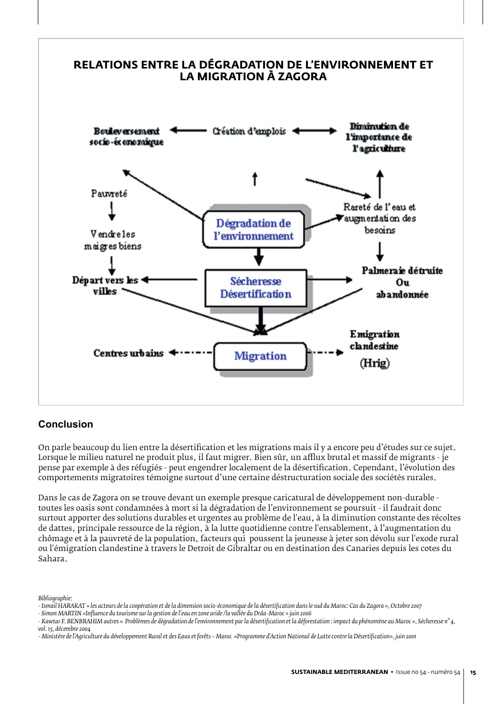

## **Conclusion**

On parle beaucoup du lien entre la désertification et les migrations mais il y a encore peu d'études sur ce sujet. Lorsque le milieu naturel ne produit plus, il faut migrer. Bien sûr, un afflux brutal et massif de migrants - je pense par exemple à des réfugiés - peut engendrer localement de la désertification. Cependant, l'évolution des comportements migratoires témoigne surtout d'une certaine déstructuration sociale des sociétés rurales.

Dans le cas de Zagora on se trouve devant un exemple presque caricatural de développement non-durable toutes les oasis sont condamnées à mort si la dégradation de l'environnement se poursuit - il faudrait donc surtout apporter des solutions durables et urgentes au problème de l'eau, à la diminution constante des récoltes de dattes, principale ressource de la région, à la lutte quotidienne contre l'ensablement, à l'augmentation du chômage et à la pauvreté de la population, facteurs qui poussent la jeunesse à jeter son dévolu sur l'exode rural ou l'émigration clandestine à travers le Detroit de Gibraltar ou en destination des Canaries depuis les cotes du Sahara.

*Bibliographie:*

*<sup>-</sup> Ismail HARAKAT « les acteurs de la coopération et de la dimension socio-économique de la désertification dans le sud du Maroc: Cas du Zagora », Octobre 2007*

*<sup>-</sup> Simon MARTIN «Influence du tourisme sur la gestion de l'eau en zone aride /la vallée du Drâa-Maroc » juin 2006*

<sup>-</sup> Kawtar F. BENBRAHIM autres « Problèmes de dégradation de l'environnement par la désertification et la déforestation : impact du phénomène au Maroc », Sécheresse n° 4,<br>vol. 15. décembre 2004 *vol. 15, décembre 2004*

*<sup>-</sup> Ministère de l'Agriculture du développement Rural et des Eaux et forêts – Maroc «Programme d'Action National de Lutte contre la Désertification», juin 2001*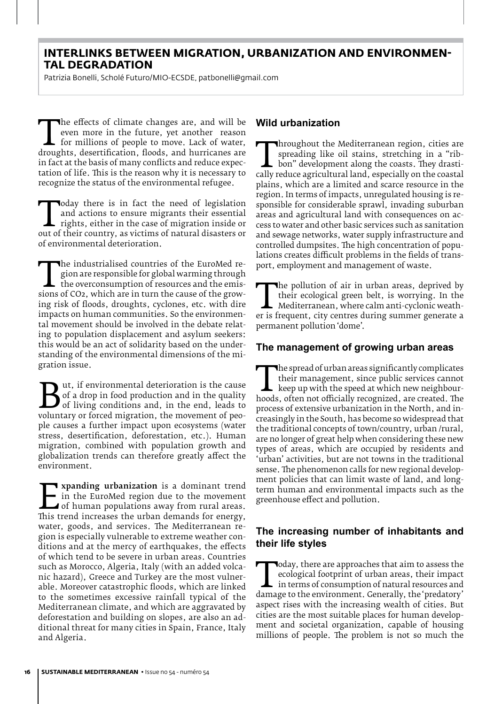#### **Interlinks between migration, urbanization and environmental degradation**

Patrizia Bonelli, Scholé Futuro/MIO-ECSDE, patbonelli@gmail.com

The effects of climate changes are, and will be<br>
even more in the future, yet another reason<br>
for millions of people to move. Lack of water,<br>
droughts, desertification, floods, and hurricanes are<br>
in fact at the basis of m even more in the future, yet another reason for millions of people to move. Lack of water, in fact at the basis of many conflicts and reduce expectation of life. This is the reason why it is necessary to recognize the status of the environmental refugee.

Today there is in fact the heed of legislation<br>and actions to ensure migrants their essential<br>rights, either in the case of migration inside or<br>out of their country, as victims of natural disasters or<br>of environmental dete and actions to ensure migrants their essential rights, either in the case of migration inside or out of their country, as victims of natural disasters or of environmental deterioration.

The industrialised countries of the EuroMed re-<br>gion are responsible for global warming through<br>the overconsumption of resources and the emis-<br>sions of CO2, which are in turn the cause of the grow-<br>ing risk of floods, drou gion are responsible for global warming through  $\mathsf{\mathsf{L}}\n$  the overconsumption of resources and the emising risk of floods, droughts, cyclones, etc. with dire impacts on human communities. So the environmental movement should be involved in the debate relating to population displacement and asylum seekers: this would be an act of solidarity based on the understanding of the environmental dimensions of the migration issue.

**But, if environmental deterioration is the cause** of a drop in food production and in the quality of living conditions and, in the end, leads to voluntary or forced migration, the movement of peo-<br>ple causes a further imp of a drop in food production and in the quality of living conditions and, in the end, leads to ple causes a further impact upon ecosystems (water stress, desertification, deforestation, etc.). Human migration, combined with population growth and globalization trends can therefore greatly affect the environment.

Expanding urbanization is a dominant trend<br>
in the EuroMed region due to the movement<br>
of human populations away from rural areas.<br>
This trend increases the urban demands for energy,<br>
water soods and services. The Mediterr in the EuroMed region due to the movement of human populations away from rural areas. water, goods, and services. The Mediterranean region is especially vulnerable to extreme weather conditions and at the mercy of earthquakes, the effects of which tend to be severe in urban areas. Countries such as Morocco, Algeria, Italy (with an added volcanic hazard), Greece and Turkey are the most vulnerable. Moreover catastrophic floods, which are linked to the sometimes excessive rainfall typical of the Mediterranean climate, and which are aggravated by deforestation and building on slopes, are also an additional threat for many cities in Spain, France, Italy and Algeria.

#### **Wild urbanization**

Inoughout the Mediterranean region, cities are spreading like oil stains, stretching in a "ribbon" development along the coasts. They drastically reduce agricultural land, especially on the coastal plains, which are a limi spreading like oil stains, stretching in a "ribbon" development along the coasts. They drastiplains, which are a limited and scarce resource in the region. In terms of impacts, unregulated housing is responsible for considerable sprawl, invading suburban areas and agricultural land with consequences on access to water and other basic services such as sanitation and sewage networks, water supply infrastructure and controlled dumpsites. The high concentration of populations creates difficult problems in the fields of transport, employment and management of waste.

The pollution of air in urban areas, deprived by<br>their ecological green belt, is worrying. In the<br>Mediterranean, where calm anti-cyclonic weath-<br>er is frequent, city centres during summer generate a<br>permanent pollution 'do their ecological green belt, is worrying. In the Mediterranean, where calm anti-cyclonic weather is frequent, city centres during summer generate a permanent pollution 'dome'.

#### **The management of growing urban areas**

The spread of urban areas significantly complicates<br>
their management, since public services cannot<br>
keep up with the speed at which new neighbour-<br>
hoods, often not officially recognized, are created. The<br>
process of exte their management, since public services cannot keep up with the speed at which new neighbourprocess of extensive urbanization in the North, and increasingly in the South, has become so widespread that the traditional concepts of town/country, urban /rural, are no longer of great help when considering these new types of areas, which are occupied by residents and 'urban' activities, but are not towns in the traditional sense. The phenomenon calls for new regional development policies that can limit waste of land, and longterm human and environmental impacts such as the greenhouse effect and pollution.

#### **The increasing number of inhabitants and their life styles**

Today, there are approaches that aim to assess the ecological footprint of urban areas, their impact<br>in terms of consumption of natural resources and<br>damage to the environment. Generally, the 'predatory'<br>aspect rises with ecological footprint of urban areas, their impact  $\blacksquare$  in terms of consumption of natural resources and aspect rises with the increasing wealth of cities. But cities are the most suitable places for human development and societal organization, capable of housing millions of people. The problem is not so much the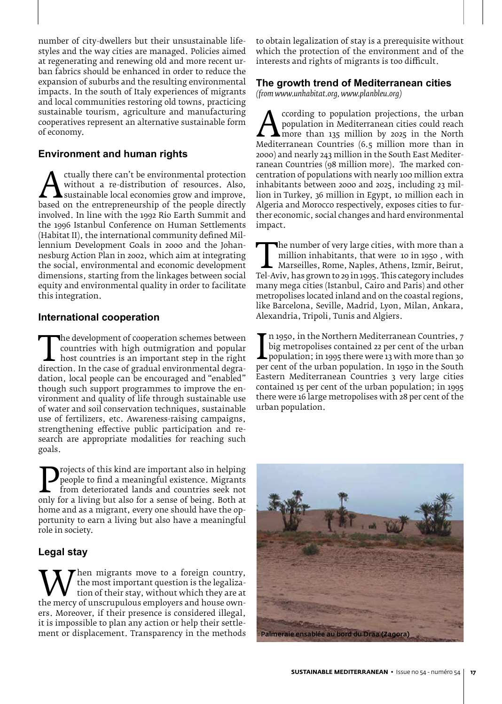number of city-dwellers but their unsustainable lifestyles and the way cities are managed. Policies aimed at regenerating and renewing old and more recent urban fabrics should be enhanced in order to reduce the expansion of suburbs and the resulting environmental impacts. In the south of Italy experiences of migrants and local communities restoring old towns, practicing sustainable tourism, agriculture and manufacturing cooperatives represent an alternative sustainable form of economy.

#### **Environment and human rights**

without a re-distribution of resources. Also,<br>
based on the entrepreneurship of the people directly<br>
involved In line with the 1992 Rio Earth Summit and without a re-distribution of resources. Also, sustainable local economies grow and improve, involved. In line with the 1992 Rio Earth Summit and the 1996 Istanbul Conference on Human Settlements (Habitat II), the international community defined Millennium Development Goals in 2000 and the Johannesburg Action Plan in 2002, which aim at integrating the social, environmental and economic development dimensions, starting from the linkages between social equity and environmental quality in order to facilitate this integration.

#### **International cooperation**

The development of cooperation schemes between<br>
countries with high outmigration and popular<br>
host countries is an important step in the right<br>
direction. In the case of gradual environmental degra-<br>
dation local people ca countries with high outmigration and popular  $\mathsf{\mathsf{L}}$  host countries is an important step in the right dation, local people can be encouraged and "enabled" though such support programmes to improve the environment and quality of life through sustainable use of water and soil conservation techniques, sustainable use of fertilizers, etc. Awareness-raising campaigns, strengthening effective public participation and research are appropriate modalities for reaching such goals.

**Projects of this kind are important also in helping**<br>
from deteriorated lands and countries seek not<br>
only for a living but also for a sense of being. Both at<br>
home and as a migrant every one should have the onpeople to find a meaningful existence. Migrants from deteriorated lands and countries seek not home and as a migrant, every one should have the opportunity to earn a living but also have a meaningful role in society.

#### **Legal stay**

When migrants move to a foreign country,<br>the most important question is the legaliza-<br>the mercy of unscrupulous employers and house own-<br>ers. Moreover, if their presence is considered illegal the most important question is the legalization of their stay, without which they are at ers. Moreover, if their presence is considered illegal, it is impossible to plan any action or help their settlement or displacement. Transparency in the methods

to obtain legalization of stay is a prerequisite without which the protection of the environment and of the interests and rights of migrants is too difficult.

#### **The growth trend of Mediterranean cities**

*(from www.unhabitat.org, www.planbleu.org)*

**And Strain Cording to population projections, the urban**<br>population in Mediterranean cities could reach<br>Mediterranean Countries (6.5 million more than in<br>2000) and nearly 243 million in the South Fast Mediterpopulation in Mediterranean cities could reach more than 135 million by 2025 in the North Mediterranean Countries (6.5 million more than in 2000) and nearly 243 million in the South East Mediterranean Countries (98 million more). The marked concentration of populations with nearly 100 million extra inhabitants between 2000 and 2025, including 23 million in Turkey, 36 million in Egypt, 10 million each in Algeria and Morocco respectively, exposes cities to further economic, social changes and hard environmental impact.

The number of very large cities, with more than a<br>
million inhabitants, that were 10 in 1950, with<br>
Marseilles, Rome, Naples, Athens, Izmir, Beirut,<br>
Tel-Aviv, has grown to 29 in 1995. This category includes<br>
many mega cit million inhabitants, that were 10 in 1950 , with Marseilles, Rome, Naples, Athens, Izmir, Beirut, many mega cities (Istanbul, Cairo and Paris) and other metropolises located inland and on the coastal regions, like Barcelona, Seville, Madrid, Lyon, Milan, Ankara, Alexandria, Tripoli, Tunis and Algiers.

big metropolises contained 22 per cent of the urban<br>population; in 1995 there were 13 with more than 30<br>per cent of the urban population. In 1950 in the South<br>Eastern Mediterranean Countries 3 very large cities n 1950, in the Northern Mediterranean Countries, 7 big metropolises contained 22 per cent of the urban population; in 1995 there were 13 with more than 30 Eastern Mediterranean Countries 3 very large cities contained 15 per cent of the urban population; in 1995 there were 16 large metropolises with 28 per cent of the urban population.

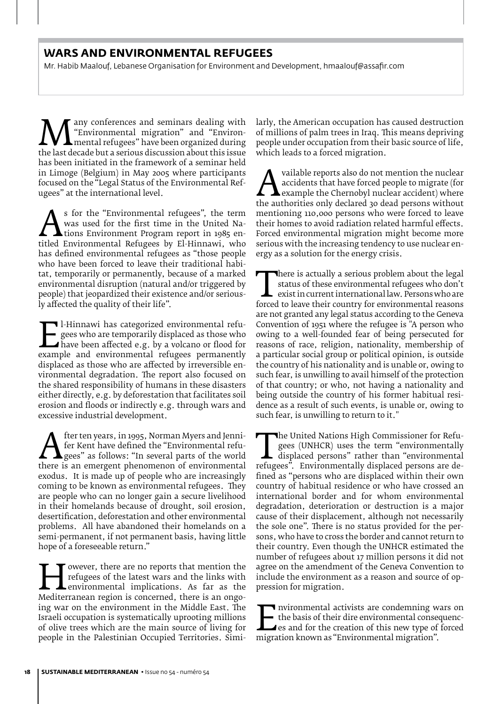## **Wars and environmental refugees**

Mr. Habib Maalouf, Lebanese Organisation for Environment and Development, hmaalouf@assafir.com

**Many conferences and seminars dealing with**<br>"Environmental migration" and "Environ-<br>the last decade but a serious discussion about this issue<br>has been initiated in the framework of a seminar held "Environmental migration" and "Environmental refugees" have been organized during the last decade but a serious discussion about this issue has been initiated in the framework of a seminar held in Limoge (Belgium) in May 2005 where participants focused on the "Legal Status of the Environmental Refugees" at the international level.

As for the Environmental refugees, the term<br>
was used for the first time in the United Na-<br>
titled Environmental Refugees by El-Hinnawi, who<br>
has defined environmental refugees as "those people was used for the first time in the United Nations Environment Program report in 1985 enhas defined environmental refugees as "those people who have been forced to leave their traditional habitat, temporarily or permanently, because of a marked environmental disruption (natural and/or triggered by people) that jeopardized their existence and/or seriously affected the quality of their life".

El-Hinnawi has categorized environmental refu-<br>gees who are temporarily displaced as those who<br>have been affected e.g. by a volcano or flood for<br>example and environmental refugees permanently<br>displaced as those who are aff gees who are temporarily displaced as those who have been affected e.g. by a volcano or flood for displaced as those who are affected by irreversible environmental degradation. The report also focused on the shared responsibility of humans in these disasters either directly, e.g. by deforestation that facilitates soil erosion and floods or indirectly e.g. through wars and excessive industrial development.

There is an emergent phenomenon of environmental refugees" as follows: "In several parts of the world there is an emergent phenomenon of environmental exodus. It is made un of people who are increasingly fer Kent have defined the "Environmental refugees" as follows: "In several parts of the world exodus. It is made up of people who are increasingly coming to be known as environmental refugees. They are people who can no longer gain a secure livelihood in their homelands because of drought, soil erosion, desertification, deforestation and other environmental problems. All have abandoned their homelands on a semi-permanent, if not permanent basis, having little hope of a foreseeable return."

For the same in the ports that mention the<br>
refugees of the latest wars and the links with<br>
environmental implications. As far as the<br>
Mediterranean region is concerned, there is an ongo-<br>
ing war on the environment in the refugees of the latest wars and the links with environmental implications. As far as the ing war on the environment in the Middle East. The Israeli occupation is systematically uprooting millions of olive trees which are the main source of living for people in the Palestinian Occupied Territories. Similarly, the American occupation has caused destruction of millions of palm trees in Iraq. This means depriving people under occupation from their basic source of life, which leads to a forced migration.

A variable reports also do not inerition the nuclear<br>accidents that have forced people to migrate (for<br>the authorities only declared 30 dead persons without<br>mentioning 110,000 persons who were forced to leave accidents that have forced people to migrate (for example the Chernobyl nuclear accident) where mentioning 110,000 persons who were forced to leave their homes to avoid radiation related harmful effects. Forced environmental migration might become more serious with the increasing tendency to use nuclear energy as a solution for the energy crisis.

There is actually a serious problem about the legal<br>status of these environmental refugees who don't<br>exist in current international law. Persons who are<br>forced to leave their country for environmental reasons<br>are not grant status of these environmental refugees who don't exist in current international law. Persons who are forced to leave their country for environmental reasons are not granted any legal status according to the Geneva Convention of 1951 where the refugee is "A person who owing to a well-founded fear of being persecuted for reasons of race, religion, nationality, membership of a particular social group or political opinion, is outside the country of his nationality and is unable or, owing to such fear, is unwilling to avail himself of the protection of that country; or who, not having a nationality and being outside the country of his former habitual residence as a result of such events, is unable or, owing to such fear, is unwilling to return to it."

The United Nations High Commissioner for Refugees (UNHCR) uses the term "environmentally displaced persons" rather than "environmentally refugees". Environmentally displaced persons are de-<br>fined as "persons who are displa gees (UNHCR) uses the term "environmentally displaced persons" rather than "environmental fined as "persons who are displaced within their own country of habitual residence or who have crossed an international border and for whom environmental degradation, deterioration or destruction is a major cause of their displacement, although not necessarily the sole one". There is no status provided for the persons, who have to cross the border and cannot return to their country. Even though the UNHCR estimated the number of refugees about 17 million persons it did not agree on the amendment of the Geneva Convention to include the environment as a reason and source of oppression for migration.

The basis of their dire environmental consequences and for the creation of this new type of forced migration known as "Environmental migration". the basis of their dire environmental consequences and for the creation of this new type of forced migration known as "Environmental migration".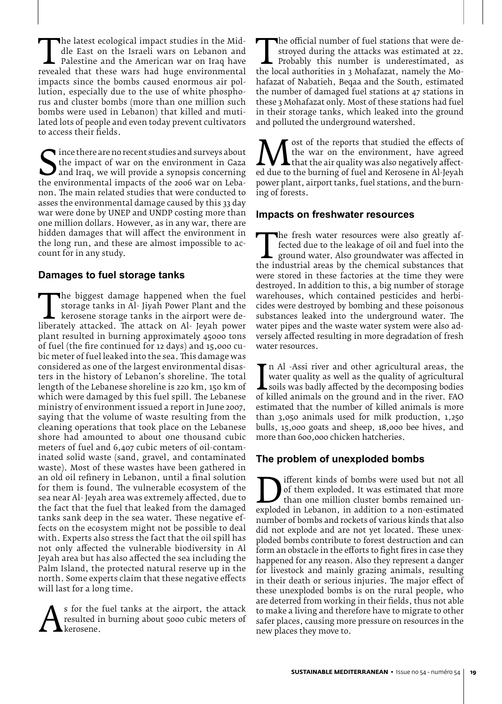The latest ecological impact studies in the Mid-<br>dle East on the Israeli wars on Lebanon and<br>palestine and the American war on Iraq have<br>revealed that these wars had huge environmental<br>impacts since the bombs caused enormo dle East on the Israeli wars on Lebanon and Palestine and the American war on Iraq have impacts since the bombs caused enormous air pollution, especially due to the use of white phosphorus and cluster bombs (more than one million such bombs were used in Lebanon) that killed and mutilated lots of people and even today prevent cultivators to access their fields.

The there are no recent studies and surveys about<br>the impact of war on the environment in Gaza<br>and Iraq, we will provide a synopsis concerning<br>the environmental impacts of the 2006 war on Leba-<br>non. The main related studie the impact of war on the environment in Gaza and Iraq, we will provide a synopsis concerning the environmental impacts of the 2006 war on Lebanon. The main related studies that were conducted to asses the environmental damage caused by this 33 day war were done by UNEP and UNDP costing more than one million dollars. However, as in any war, there are hidden damages that will affect the environment in the long run, and these are almost impossible to account for in any study.

#### **Damages to fuel storage tanks**

The biggest damage happened when the fuel<br>storage tanks in Al- Jiyah Power Plant and the<br>liberately attacked. The attack on Al- Jeyah power<br>plant resulted in burning approximately 45000 tons storage tanks in Al- Jiyah Power Plant and the kerosene storage tanks in the airport were deplant resulted in burning approximately 45000 tons of fuel (the fire continued for 12 days) and 15,000 cubic meter of fuel leaked into the sea. This damage was considered as one of the largest environmental disasters in the history of Lebanon's shoreline. The total length of the Lebanese shoreline is 220 km, 150 km of which were damaged by this fuel spill. The Lebanese ministry of environment issued a report in June 2007, saying that the volume of waste resulting from the cleaning operations that took place on the Lebanese shore had amounted to about one thousand cubic meters of fuel and 6,407 cubic meters of oil-contaminated solid waste (sand, gravel, and contaminated waste). Most of these wastes have been gathered in an old oil refinery in Lebanon, until a final solution for them is found. The vulnerable ecosystem of the sea near Al- Jeyah area was extremely affected, due to the fact that the fuel that leaked from the damaged tanks sank deep in the sea water. These negative effects on the ecosystem might not be possible to deal with. Experts also stress the fact that the oil spill has not only affected the vulnerable biodiversity in Al Jeyah area but has also affected the sea including the Palm Island, the protected natural reserve up in the north. Some experts claim that these negative effects will last for a long time.

As for the fuel tanks at the anport, the attack<br>resulted in burning about 5000 cubic meters of<br>kerosene. resulted in burning about 5000 cubic meters of kerosene.

The official number of fuel stations that were de-<br>stroyed during the attacks was estimated at 22.<br>Probably this number is underestimated, as<br>the local authorities in 3 Mohafazat, namely the Mo-<br>hafazat of Nabatieh Begaa a stroyed during the attacks was estimated at 22. Probably this number is underestimated, as hafazat of Nabatieh, Beqaa and the South, estimated the number of damaged fuel stations at 47 stations in these 3 Mohafazat only. Most of these stations had fuel in their storage tanks, which leaked into the ground and polluted the underground watershed.

**Manufacture is that studied the enects of**<br>that the air quality was also negatively affect-<br>ed due to the burning of fuel and Kerosene in Al-Jeyah<br>power plant, airport tanks, fuel stations, and the burnthe war on the environment, have agreed  $\blacktriangle$  that the air quality was also negatively affectpower plant, airport tanks, fuel stations, and the burning of forests.

#### **Impacts on freshwater resources**

The fresh water resources were also greatly affected due to the leakage of oil and fuel into the ground water. Also groundwater was affected in the industrial areas by the chemical substances that were stored in these fact fected due to the leakage of oil and fuel into the  $\blacksquare$  ground water. Also groundwater was affected in were stored in these factories at the time they were destroyed. In addition to this, a big number of storage warehouses, which contained pesticides and herbicides were destroyed by bombing and these poisonous substances leaked into the underground water. The water pipes and the waste water system were also adversely affected resulting in more degradation of fresh water resources.

water quality as well as the quality of agricultural<br>soils was badly affected by the decomposing bodies<br>of killed animals on the ground and in the river. FAO<br>estimated that the number of killed animals is more n Al -Assi river and other agricultural areas, the water quality as well as the quality of agricultural **L** soils was badly affected by the decomposing bodies estimated that the number of killed animals is more than 3,050 animals used for milk production, 1,250 bulls, 15,000 goats and sheep, 18,000 bee hives, and more than 600,000 chicken hatcheries.

#### **The problem of unexploded bombs**

The means of bombs were used but not an of them exploded. It was estimated that more than one million cluster bombs remained unexploded in Lebanon, in addition to a non-estimated number of bombs and rockets of various kind of them exploded. It was estimated that more than one million cluster bombs remained unnumber of bombs and rockets of various kinds that also did not explode and are not yet located. These unexploded bombs contribute to forest destruction and can form an obstacle in the efforts to fight fires in case they happened for any reason. Also they represent a danger for livestock and mainly grazing animals, resulting in their death or serious injuries. The major effect of these unexploded bombs is on the rural people, who are deterred from working in their fields, thus not able to make a living and therefore have to migrate to other safer places, causing more pressure on resources in the new places they move to.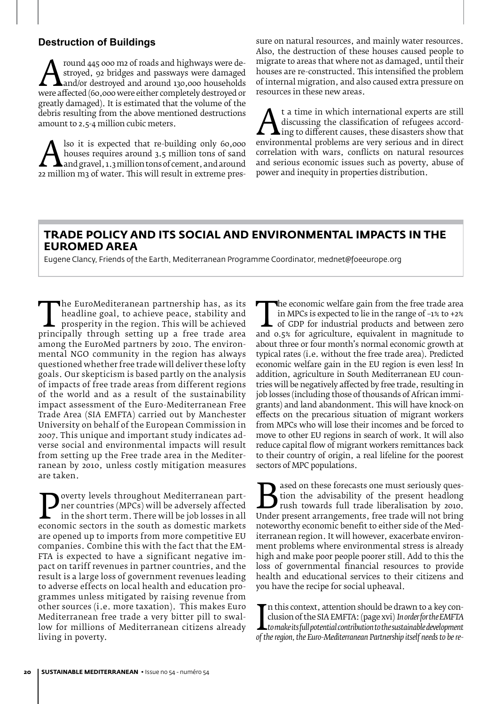#### **Destruction of Buildings**

Around 445 000 m2 of roads and highways were de-<br>stroyed, 92 bridges and passways were damaged<br>were affected (60,000 were either completely destroyed or<br>greatly damaged). It is estimated that the volume of the stroyed, 92 bridges and passways were damaged and/or destroyed and around 130,000 households greatly damaged). It is estimated that the volume of the debris resulting from the above mentioned destructions amount to 2.5-4 million cubic meters.

Also it is expected that re-building only 60,000<br>houses requires around 3.5 million tons of sand<br>22 million m3 of water. This will result in extreme preshouses requires around 3.5 million tons of sand and gravel, 1.3 million tons of cement, and around sure on natural resources, and mainly water resources. Also, the destruction of these houses caused people to migrate to areas that where not as damaged, until their houses are re-constructed. This intensified the problem of internal migration, and also caused extra pressure on resources in these new areas.

At a time in which international experts are still<br>discussing the classification of refugees accord-<br>ing to different causes, these disasters show that<br>environmental problems are very serious and in direct<br>correlation with discussing the classification of refugees accord- $\blacktriangle$ ing to different causes, these disasters show that environmental problems are very serious and in direct correlation with wars, conflicts on natural resources and serious economic issues such as poverty, abuse of power and inequity in properties distribution.

#### **Trade Policy and its social and environmental impacts in the EuroMed area**

Eugene Clancy, Friends of the Earth, Mediterranean Programme Coordinator, mednet@foeeurope.org

The EuroMediteranean partnership has, as its<br>
prosperity in the region. This will be achieved<br>
principally through setting up a free trade area<br>
among the EuroMed partners by 2010. The environheadline goal, to achieve peace, stability and prosperity in the region. This will be achieved among the EuroMed partners by 2010. The environmental NGO community in the region has always questioned whether free trade will deliver these lofty goals. Our skepticism is based partly on the analysis of impacts of free trade areas from different regions of the world and as a result of the sustainability impact assessment of the Euro-Mediterranean Free Trade Area (SIA EMFTA) carried out by Manchester University on behalf of the European Commission in 2007. This unique and important study indicates adverse social and environmental impacts will result from setting up the Free trade area in the Mediterranean by 2010, unless costly mitigation measures are taken.

**Poverty levels throughout Mediterranean part-**<br>
in the short term. There will be job losses in all<br>
economic sectors in the south as domestic markets<br>
are opened up to imports from more competitive FII ner countries (MPCs) will be adversely affected in the short term. There will be job losses in all are opened up to imports from more competitive EU companies. Combine this with the fact that the EM-FTA is expected to have a significant negative impact on tariff revenues in partner countries, and the result is a large loss of government revenues leading to adverse effects on local health and education programmes unless mitigated by raising revenue from other sources (i.e. more taxation). This makes Euro Mediterranean free trade a very bitter pill to swallow for millions of Mediterranean citizens already living in poverty.

The economic wender gain from the free trade area<br>in MPCs is expected to lie in the range of  $-1\%$  to  $+2\%$ <br>of GDP for industrial products and between zero<br>and 0.5% for agriculture, equivalent in magnitude to<br>about thre in MPCs is expected to lie in the range of –1% to +2% of GDP for industrial products and between zero and 0.5% for agriculture, equivalent in magnitude to about three or four month's normal economic growth at typical rates (i.e. without the free trade area). Predicted economic welfare gain in the EU region is even less! In addition, agriculture in South Mediterranean EU countries will be negatively affected by free trade, resulting in job losses (including those of thousands of African immigrants) and land abandonment. This will have knock-on effects on the precarious situation of migrant workers from MPCs who will lose their incomes and be forced to move to other EU regions in search of work. It will also reduce capital flow of migrant workers remittances back to their country of origin, a real lifeline for the poorest sectors of MPC populations.

**B**ased on these forecasts one must seriously question the advisability of the present headlong rush towards full trade liberalisation by 2010.<br>Under present arrangements, free trade will not bring noteworthy economic bene tion the advisability of the present headlong rush towards full trade liberalisation by 2010. noteworthy economic benefit to either side of the Mediterranean region. It will however, exacerbate environment problems where environmental stress is already high and make poor people poorer still. Add to this the loss of governmental financial resources to provide health and educational services to their citizens and you have the recipe for social upheaval.

clusion of the SIA EMFTA: (page xvi) In*order for the EMFTA*<br>*Lo make its full potential contribution to the sustainable development*<br>of the region, the Euro-Mediterranean Partnership itself needs to be re- $\blacksquare$  n this context, attention should be drawn to a key conclusion of the SIA EMFTA: (page xvi) *In order for the EMFTA to make its full potential contribution to the sustainable development*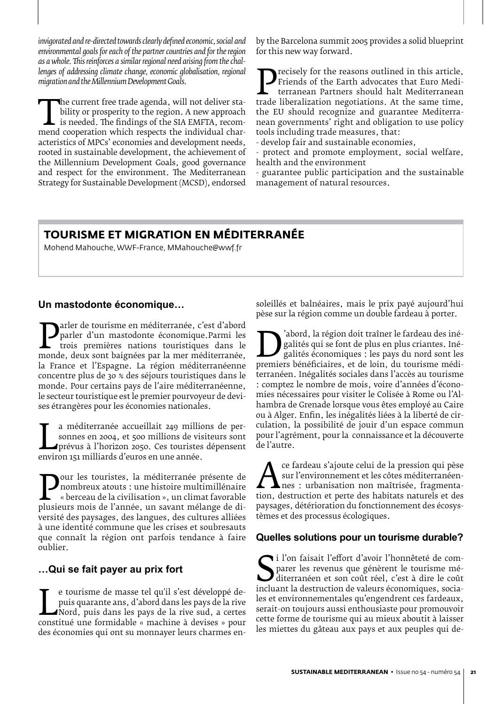*invigorated and re-directed towards clearly defined economic, social and environmental goals for each of the partner countries and for the region as a whole. This reinforces a similar regional need arising from the challenges of addressing climate change, economic globalisation, regional migration and the Millennium Development Goals.*

The current free trade agenda, whi not deliver sta-<br>bility or prosperity to the region. A new approach<br>is needed. The findings of the SIA EMFTA, recom-<br>mend cooperation which respects the individual char-<br>acteristics of MP bility or prosperity to the region. A new approach is needed. The findings of the SIA EMFTA, recomacteristics of MPCs' economies and development needs, rooted in sustainable development, the achievement of the Millennium Development Goals, good governance and respect for the environment. The Mediterranean Strategy for Sustainable Development (MCSD), endorsed by the Barcelona summit 2005 provides a solid blueprint for this new way forward.

**Precisely for the reasons outlined in this article,**<br>
terranean Partners should halt Mediterranean<br>
trade liberalization negotiations. At the same time,<br>
the FU should recognize and guarantee Mediterra-Friends of the Earth advocates that Euro Mediterranean Partners should halt Mediterranean the EU should recognize and guarantee Mediterranean governments' right and obligation to use policy tools including trade measures, that:

- develop fair and sustainable economies,

- protect and promote employment, social welfare, health and the environment

- guarantee public participation and the sustainable management of natural resources.

## **Tourisme et migration en méditerranée**

Mohend Mahouche, WWF-France, MMahouche@wwf.fr

#### **Un mastodonte économique…**

**Parler de tourisme en méditerranée, c'est d'abord**<br>
parler d'un mastodonte économique.Parmi les<br>
trois premières nations touristiques dans le<br>
monde, deux sont baignées par la mer méditerranée,<br>
la France et l'Espagne. La parler d'un mastodonte économique.Parmi les trois premières nations touristiques dans le la France et l'Espagne. La région méditerranéenne concentre plus de 30 % des séjours touristiques dans le monde. Pour certains pays de l'aire méditerranéenne, le secteur touristique est le premier pourvoyeur de devises étrangères pour les économies nationales.

sonnes en 2004, et 500 millions de vis<br>prévus à l'horizon 2050. Ces touristes<br>environ 151 milliards d'euros en une année. a méditerranée accueillait 249 millions de personnes en 2004, et 500 millions de visiteurs sont prévus à l'horizon 2050. Ces touristes dépensent

**Pour les touristes, la méditerranée présente de**<br> *e* hombreux atouts : une histoire multimillénaire<br>
plusieurs mois de l'année, un savant mélange de di-<br>
versité des paysages des langues des cultures alliées nombreux atouts : une histoire multimillénaire « berceau de la civilisation », un climat favorable versité des paysages, des langues, des cultures alliées à une identité commune que les crises et soubresauts que connaît la région ont parfois tendance à faire oublier.

#### **…Qui se fait payer au prix fort**

puis quarante ans, d'abord dans les pays de la rive<br>Nord, puis dans les pays de la rive sud, a certes<br>constitué une formidable « machine à devises » pour<br>des économies qui ont su monnaver leurs charmes ene tourisme de masse tel qu'il s'est développé depuis quarante ans, d'abord dans les pays de la rive Nord, puis dans les pays de la rive sud, a certes des économies qui ont su monnayer leurs charmes ensoleillés et balnéaires, mais le prix payé aujourd'hui pèse sur la région comme un double fardeau à porter.

**Establece**<br>
premiers bénéficiaires, et de loin, du tourisme médi-<br>
premiers bénéficiaires, et de loin, du tourisme médi-<br>
premiers linégalités sociales dans l'accès au tourisme galités qui se font de plus en plus criantes. Inégalités économiques : les pays du nord sont les terranéen. Inégalités sociales dans l'accès au tourisme : comptez le nombre de mois, voire d'années d'économies nécessaires pour visiter le Colisée à Rome ou l'Alhambra de Grenade lorsque vous êtes employé au Caire ou à Alger. Enfin, les inégalités liées à la liberté de circulation, la possibilité de jouir d'un espace commun pour l'agrément, pour la connaissance et la découverte de l'autre.

**A sur l'environnement et les côtes méditerranéen-**<br>
nes : urbanisation non maîtrisée, fragmenta-<br>
tion, destruction et perte des habitats naturels et des<br>
paysages déférioration du fonctionnement des écosyssur l'environnement et les côtes méditerranéennes : urbanisation non maîtrisée, fragmentapaysages, détérioration du fonctionnement des écosystèmes et des processus écologiques.

#### **Quelles solutions pour un tourisme durable?**

Saint des revenus que génèrent le tourisme mé-<br>
diterranéen et son coût réel, c'est à dire le coût<br>
incluant la destruction de valeurs économiques, socia-<br>
les et environnementales qu'engendrent ces fardeaux i l'on faisait l'effort d'avoir l'honnêteté de comparer les revenus que génèrent le tourisme méditerranéen et son coût réel, c'est à dire le coût les et environnementales qu'engendrent ces fardeaux, serait-on toujours aussi enthousiaste pour promouvoir cette forme de tourisme qui au mieux aboutit à laisser les miettes du gâteau aux pays et aux peuples qui de-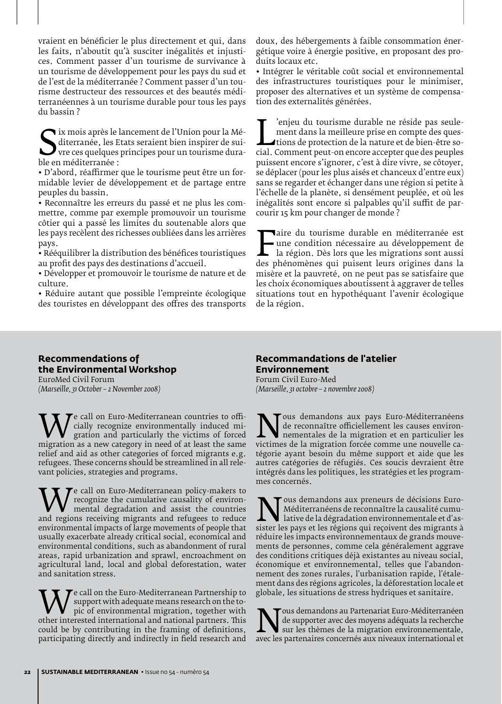vraient en bénéficier le plus directement et qui, dans les faits, n'aboutit qu'à susciter inégalités et injustices. Comment passer d'un tourisme de survivance à un tourisme de développement pour les pays du sud et de l'est de la méditerranée ? Comment passer d'un tourisme destructeur des ressources et des beautés méditerranéennes à un tourisme durable pour tous les pays du bassin ?

Suiterranée, les Expedit<br>
ble en méditerranée :<br>
• D'abord réaffirmer ix mois après le lancement de l'Union pour la Méditerranée, les Etats seraient bien inspirer de suivre ces quelques principes pour un tourisme dura-

• D'abord, réaffirmer que le tourisme peut être un formidable levier de développement et de partage entre peuples du bassin.

• Reconnaître les erreurs du passé et ne plus les commettre, comme par exemple promouvoir un tourisme côtier qui a passé les limites du soutenable alors que les pays recèlent des richesses oubliées dans les arrières pays.

• Rééquilibrer la distribution des bénéfices touristiques au profit des pays des destinations d'accueil.

• Développer et promouvoir le tourisme de nature et de culture.

• Réduire autant que possible l'empreinte écologique des touristes en développant des offres des transports

doux, des hébergements à faible consommation énergétique voire à énergie positive, en proposant des produits locaux etc.

• Intégrer le véritable coût social et environnemental des infrastructures touristiques pour le minimiser, proposer des alternatives et un système de compensation des externalités générées.

ment dans la meilleure prise en compte des ques-<br>tions de protection de la nature et de bien-être so-<br>cial. Comment peut-on encore accepter que des peuples<br>puissent encore s'ignorer, c'est à dire vivre, se côtover 'enjeu du tourisme durable ne réside pas seulement dans la meilleure prise en compte des questions de protection de la nature et de bien-être sopuissent encore s'ignorer, c'est à dire vivre, se côtoyer, se déplacer (pour les plus aisés et chanceux d'entre eux) sans se regarder et échanger dans une région si petite à l'échelle de la planète, si densément peuplée, et où les inégalités sont encore si palpables qu'il suffit de parcourir 15 km pour changer de monde ?

Faire du tourisme durable en médiciense est<br>
une condition nécessaire au développement de<br>
la région. Dès lors que les migrations sont aussi<br>
des phénomènes qui puisent leurs origines dans la<br>
misère et la pauvreté on ne p une condition nécessaire au développement de la région. Dès lors que les migrations sont aussi des phénomènes qui puisent leurs origines dans la misère et la pauvreté, on ne peut pas se satisfaire que les choix économiques aboutissent à aggraver de telles situations tout en hypothéquant l'avenir écologique de la région.

#### **Recommendations of the Environmental Workshop**  EuroMed Civil Forum

*(Marseille, 31 October – 2 November 2008)*

We call on Euro-Mediterranean countries to one-<br>gration and particularly the victims of forced<br>migration as a new category in need of at least the same<br>relief and aid as other categories of forced migrants e g cially recognize environmentally induced migration and particularly the victims of forced relief and aid as other categories of forced migrants e.g. refugees. These concerns should be streamlined in all relevant policies, strategies and programs.

We call on Euro-Mediterranean policy-makers to<br>
mental degradation and assist the countries<br>
and regions receiving migrants and refugees to reduce<br>
environmental impacts of large movements of people that recognize the cumulative causality of environmental degradation and assist the countries environmental impacts of large movements of people that usually exacerbate already critical social, economical and environmental conditions, such as abandonment of rural areas, rapid urbanization and sprawl, encroachment on agricultural land, local and global deforestation, water and sanitation stress.

We call on the Euro-Mediterranean Partnership to<br>
pic of environmental migration, together with<br>
other interested international and national partners. This<br>
could be by contributing in the framing of definitions support with adequate means research on the topic of environmental migration, together with could be by contributing in the framing of definitions, participating directly and indirectly in field research and

#### **Recommandations de l'atelier Environnement**

Forum Civil Euro-Med *(Marseille, 31 octobre – 2 novembre 2008)* 

Nous demandons aux pays Euro-Méditerranéens<br>
de reconnaître officiellement les causes environ-<br>
victimes de la migration forcée comme une nouvelle ca-<br>
tégorie avant besoin du même support et aide que les de reconnaître officiellement les causes environnementales de la migration et en particulier les tégorie ayant besoin du même support et aide que les autres catégories de réfugiés. Ces soucis devraient être intégrés dans les politiques, les stratégies et les programmes concernés.

Nous demandons aux preneurs de décisions Euro-<br>Méditerranéens de reconnaître la causalité cumu-<br>sister les pays et les régions qui reçoivent des migrants à<br>réduire les impacts environnementaux de grands mouve-Méditerranéens de reconnaître la causalité cumulative de la dégradation environnementale et d'assister les pays et les régions qui reçoivent des migrants à réduire les impacts environnementaux de grands mouvements de personnes, comme cela généralement aggrave des conditions critiques déjà existantes au niveau social, économique et environnemental, telles que l'abandonnement des zones rurales, l'urbanisation rapide, l'étalement dans des régions agricoles, la déforestation locale et globale, les situations de stress hydriques et sanitaire.

**Nous demandons au Partenariat Euro-Méditerranéen**<br>de supporter avec des moyens adéquats la recherche<br>sur les partenaires concernés aux niveaux international et de supporter avec des moyens adéquats la recherche sur les thèmes de la migration environnementale,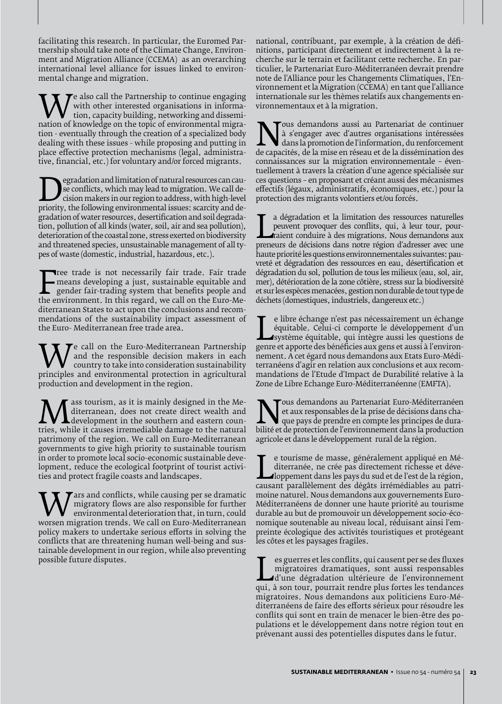facilitating this research. In particular, the Euromed Partnership should take note of the Climate Change, Environment and Migration Alliance (CCEMA) as an overarching international level alliance for issues linked to environmental change and migration.

We also call the Partnership to continue engaging<br>
tion, capacity building, networking and dissemi-<br>
nation of knowledge on the topic of environmental migra-<br>
tion - eventually through the creation of a specialized body with other interested organisations in information, capacity building, networking and dissemition - eventually through the creation of a specialized body dealing with these issues - while proposing and putting in place effective protection mechanisms (legal, administrative, financial, etc.) for voluntary and/or forced migrants.

See conflicts, which may lead to migration. We call decision makers in our region to address, with high-level<br>priority, the following environmental issues: scarcity and de-<br>gradation of water resources, desertification and se conflicts, which may lead to migration. We call decision makers in our region to address, with high-level gradation of water resources, desertification and soil degradation, pollution of all kinds (water, soil, air and sea pollution), deterioration of the coastal zone, stress exerted on biodiversity and threatened species, unsustainable management of all types of waste (domestic, industrial, hazardous, etc.).

means developing a just, sustainable equitable and<br>gender fair-trading system that benefits people and<br>the environment. In this regard, we call on the Euro-Me-<br>diterranean States to act upon the conclusions and recomree trade is not necessarily fair trade. Fair trade means developing a just, sustainable equitable and gender fair-trading system that benefits people and diterranean States to act upon the conclusions and recommendations of the sustainability impact assessment of the Euro- Mediterranean free trade area.

We can on the Euro-Mediterranean Partnership<br>
country to take into consideration sustainability<br>
principles and environmental protection in agricultural<br>
production and development in the region and the responsible decision makers in each country to take into consideration sustainability production and development in the region.

**Mass tourism, as it is mainly designed in the Me-**<br>development in the southern and eastern coun-<br>tries, while it causes irremediable damage to the natural<br>patrimony of the region. We call on Euro-Mediterranean diterranean, does not create direct wealth and development in the southern and eastern counpatrimony of the region. We call on Euro-Mediterranean governments to give high priority to sustainable tourism in order to promote local socio-economic sustainable development, reduce the ecological footprint of tourist activities and protect fragile coasts and landscapes.

We migratory flows are also responsible for further<br>
worsen migration trends. We call on Euro-Mediterranean<br>
policy makers to undertake serious efforts in solving the migratory flows are also responsible for further environmental deterioration that, in turn, could policy makers to undertake serious efforts in solving the conflicts that are threatening human well-being and sustainable development in our region, while also preventing possible future disputes.

national, contribuant, par exemple, à la création de définitions, participant directement et indirectement à la recherche sur le terrain et facilitant cette recherche. En particulier, le Partenariat Euro-Méditerranéen devrait prendre note de l'Alliance pour les Changements Climatiques, l'Environnement et la Migration (CCEMA) en tant que l'alliance internationale sur les thèmes relatifs aux changements environnementaux et à la migration.

Nous demandons aussi au Partenariat de continuer<br>
à s'engager avec d'autres organisations intéressées<br>
dans la promotion de l'information, du renforcement<br>
de capacités, de la mise en réseau et de la dissémination des<br>
con à s'engager avec d'autres organisations intéressées dans la promotion de l'information, du renforcement de capacités, de la mise en réseau et de la dissémination des connaissances sur la migration environnementale – éventuellement à travers la création d'une agence spécialisée sur ces questions – en proposant et créant aussi des mécanismes effectifs (légaux, administratifs, économiques, etc.) pour la protection des migrants volontiers et/ou forcés.

peuvent provoquer des conflits, qui, à leur tour, pour-<br>
raient conduire à des migrations. Nous demandons aux<br>
preneurs de décisions dans notre région d'adresser avec une<br>
haute priorité les questions environnementales sui a dégradation et la limitation des ressources naturelles peuvent provoquer des conflits, qui, à leur tour, pourraient conduire à des migrations. Nous demandons aux haute priorité les questions environnementales suivantes: pauvreté et dégradation des ressources en eau, désertification et dégradation du sol, pollution de tous les milieux (eau, sol, air, mer), détérioration de la zone côtière, stress sur la biodiversité et sur les espèces menacées, gestion non durable de tout type de déchets (domestiques, industriels, dangereux etc.)

équitable. Celui-ci comporte le développement d'un<br>système équitable, qui intègre aussi les questions de<br>genre et apporte des bénéficies aux gens et aussi à l'environ-<br>nement. A cet égard nous demandons aux Etats Euro-Médi e libre échange n'est pas nécessairement un échange équitable. Celui-ci comporte le développement d'un système équitable, qui intègre aussi les questions de nement. A cet égard nous demandons aux Etats Euro-Méditerranéens d'agir en relation aux conclusions et aux recommandations de l'Etude d'Impact de Durabilité relative à la Zone de Libre Echange Euro-Méditerranéenne (EMFTA).

**Nous demandons au Partenariat Euro-Méditerranéen**<br>
et aux responsables de la prise de décisions dans cha-<br>
bilité et de protection de l'environnement dans la production<br>
agricole et dans le dévelopmement rural de la régio et aux responsables de la prise de décisions dans chaque pays de prendre en compte les principes de duraagricole et dans le développement rural de la région.

diterranée, ne crée pas directement richesse et déve-<br>loppement dans les pays du sud et de l'est de la région,<br>causant parallèlement des dégâts irrémédiables au patri-<br>moine naturel Nous demandons aux gouvernements Euroe tourisme de masse, généralement appliqué en Méditerranée, ne crée pas directement richesse et développement dans les pays du sud et de l'est de la région, moine naturel. Nous demandons aux gouvernements Euro-Méditerranéens de donner une haute priorité au tourisme durable au but de promouvoir un développement socio-économique soutenable au niveau local, réduisant ainsi l'empreinte écologique des activités touristiques et protégeant les côtes et les paysages fragiles.

Les guerres et les conflits, qui causent per se des fluxes<br>
migratoires dramatiques, sont aussi responsables<br>
d'une dégradation ultérieure de l'environnement<br>
qui, à son tour, pourrait rendre plus fortes les tendances<br>
mig migratoires dramatiques, sont aussi responsables d'une dégradation ultérieure de l'environnement migratoires. Nous demandons aux politiciens Euro-Méditerranéens de faire des efforts sérieux pour résoudre les conflits qui sont en train de menacer le bien-être des populations et le développement dans notre région tout en prévenant aussi des potentielles disputes dans le futur.